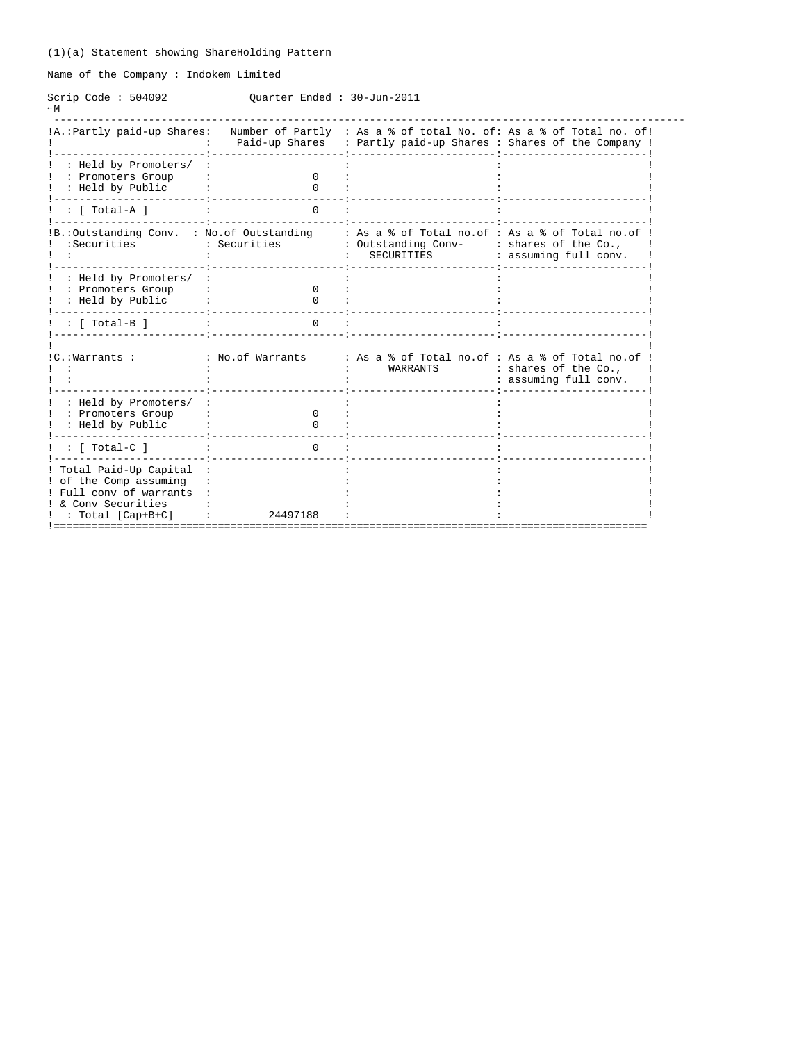Name of the Company : Indokem Limited

Scrip Code : 504092 Quarter Ended : 30-Jun-2011  $-M$ 

| !A.: Partly paid-up Shares:                                                                                              |                              | Paid-up Shares : Partly paid-up Shares : Shares of the Company !                     | Number of Partly : As a % of total No. of: As a % of Total no. of! |
|--------------------------------------------------------------------------------------------------------------------------|------------------------------|--------------------------------------------------------------------------------------|--------------------------------------------------------------------|
| : Held by Promoters/<br>: Promoters Group<br>: Held by Public                                                            | $\Omega$<br><sup>0</sup>     |                                                                                      |                                                                    |
| : [ Total-A ]                                                                                                            | $\Omega$                     |                                                                                      |                                                                    |
| IB.: Outstanding Conv. : No. of Outstanding<br>:Securities                                                               | : Securities                 | : As a % of Total no.of : As a % of Total no.of<br>: Outstanding Conv-<br>SECURITIES | : shares of the Co.,<br>: assuming full conv.                      |
| : Held by Promoters/<br>: Promoters Group<br>: Held by Public                                                            | <sup>0</sup><br><sup>n</sup> |                                                                                      |                                                                    |
| : [ Total-B ]                                                                                                            | $\Omega$                     |                                                                                      |                                                                    |
| !C.:Warrants :                                                                                                           | : No.of Warrants             | : As a % of Total no.of : As a % of Total no.of<br>WARRANTS                          | : shares of the Co.,<br>: assuming full conv.                      |
| : Held by Promoters/<br>: Promoters Group<br>: Held by Public                                                            | $\Omega$<br><sup>0</sup>     |                                                                                      |                                                                    |
| : [ Total-C ]                                                                                                            | $\Omega$                     |                                                                                      |                                                                    |
| ! Total Paid-Up Capital<br>! of the Comp assuming<br>! Full conv of warrants<br>! & Conv Securities<br>: Total [Cap+B+C] | 24497188                     |                                                                                      |                                                                    |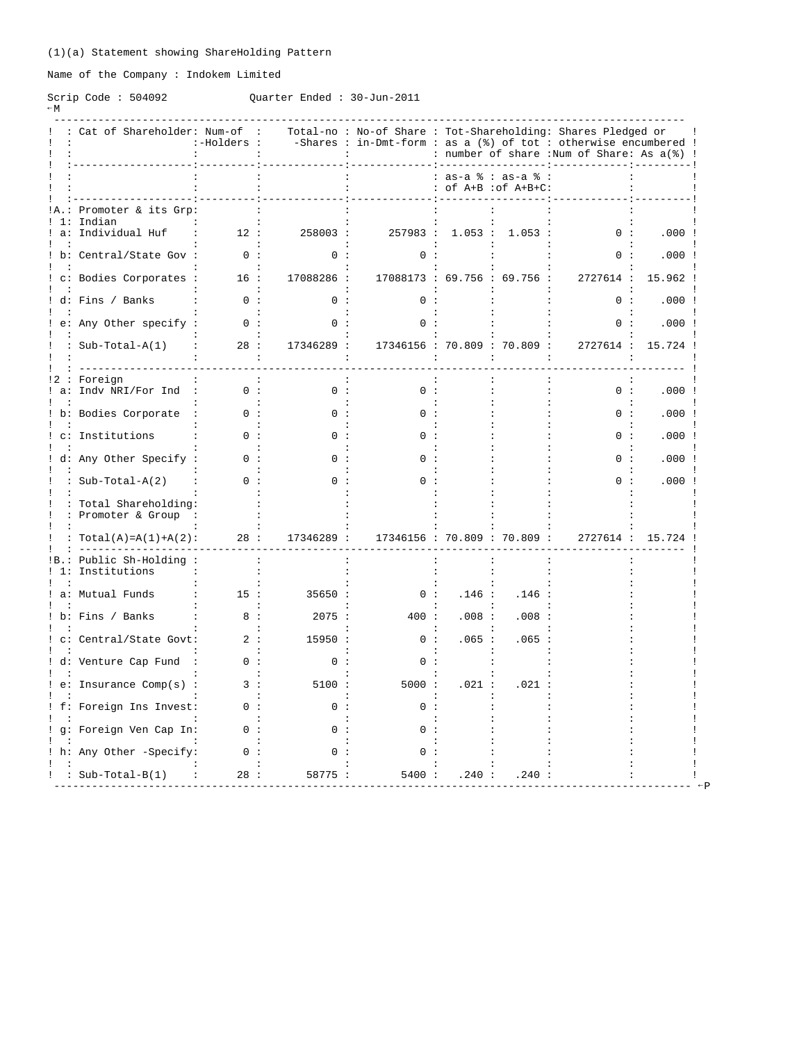Name of the Company : Indokem Limited

#### Scrip Code : 504092 Quarter Ended : 30-Jun-2011

| ۰,<br>۰, | ×<br>۰. |  |
|----------|---------|--|
| ×<br>×   |         |  |

| $-1$ vi |                           |                                  |  |  |                                                                |  |
|---------|---------------------------|----------------------------------|--|--|----------------------------------------------------------------|--|
|         |                           | : : Cat of Shareholder: Num-of : |  |  | Total-no: No-of Share: Tot-Shareholding: Shares Pledged or     |  |
|         | $\mathbf{1}$ $\mathbf{1}$ | :-Holders :                      |  |  | -Shares: in-Dmt-form: as a $(*)$ of tot: otherwise encumbered! |  |
|         | $\mathbf{1}$ $\mathbf{1}$ |                                  |  |  | : number of share :Num of Share: As a(%) !                     |  |
|         |                           |                                  |  |  |                                                                |  |

|      |                                             |                     |            |                                    |       | : as-a % : as-a % :<br>: of A+B :of A+B+C: |           |          |  |
|------|---------------------------------------------|---------------------|------------|------------------------------------|-------|--------------------------------------------|-----------|----------|--|
|      | Promoter & its Grp:                         |                     |            |                                    |       |                                            |           |          |  |
|      | Indian<br>a: Individual Huf                 | 12:                 | 258003 :   |                                    |       | 257983 : 1.053 : 1.053 :                   | 0:        | .000:    |  |
|      | b: Central/State Gov :                      | 0:                  | n :        | 0:                                 |       |                                            | 0:        | .000:    |  |
|      | : c: Bodies Corporates :                    | 16:                 | 17088286 : |                                    |       | 17088173 : 69.756 : 69.756 :               | 2727614 : | 15.962!  |  |
|      | d: Fins / Banks                             | 0:                  | 0 :        | ი :                                |       |                                            | 0:        | .000:    |  |
|      | e: Any Other specify :                      | 0:                  | 0 :        |                                    |       |                                            | 0:        | .000:    |  |
|      | : Sub-Total-A(1)                            | 28:<br>$\mathbf{L}$ | 17346289 : |                                    |       | 17346156 : 70.809 : 70.809 :               | 2727614 : | 15.724 ! |  |
| !2 : | Foreign                                     |                     |            |                                    |       |                                            |           |          |  |
| a:   | Indv NRI/For Ind                            | 0:<br>$\sim$ :      | 0:         | $\Omega$ :<br>$\ddot{\phantom{0}}$ |       |                                            | 0:        | $.000$ ! |  |
|      | b: Bodies Corporate                         | 0:                  | 0:         | 0:                                 |       |                                            | 0:        | .000:    |  |
|      | c: Institutions                             |                     |            |                                    |       |                                            | n :       | .000:    |  |
|      | d: Any Other Specify :                      |                     |            |                                    |       |                                            | ი :       | .000:    |  |
|      | : $Sub-Total-A(2)$                          | 0:                  | 0:         | ი :                                |       |                                            | 0:        | .000:    |  |
|      | : Total Shareholding:<br>: Promoter & Group |                     |            |                                    |       |                                            |           |          |  |
|      | $Total(A) = A(1) + A(2)$ :                  | 28:                 | 17346289 : |                                    |       | 17346156 : 70.809 : 70.809 :               | 2727614 : | 15.724   |  |
|      | Public Sh-Holding:<br>1: Institutions       |                     |            |                                    |       |                                            |           |          |  |
|      | a: Mutual Funds                             | 15:                 | 35650:     | 0:                                 | .146: | .146                                       |           |          |  |
|      | ! b: Fins / Banks                           | 8:                  | 2075:      | 400 :                              | .008: | .008:                                      |           |          |  |
|      | c: Central/State Govt:                      | 2:                  | 15950:     | 0:                                 | .065: | .065                                       |           |          |  |
|      | d: Venture Cap Fund                         | 0 :                 | 0:         | 0:                                 |       |                                            |           |          |  |
|      | ! e: Insurance Comp(s) :                    | 3:                  | 5100 :     | 5000:                              | .021: | .021                                       |           |          |  |
|      | f: Foreign Ins Invest:                      | 0 :                 | 0:         | 0:                                 |       |                                            |           |          |  |
|      | g: Foreign Ven Cap In:                      | 0:                  | ი :        |                                    |       |                                            |           |          |  |
|      | ! h: Any Other -Specify:                    | 0:                  | 0:         | 0:                                 |       |                                            |           |          |  |
|      | $: Sub-Total-B(1)$                          | 28:                 | 58775 :    | 5400 :                             | .240: | .240:                                      |           |          |  |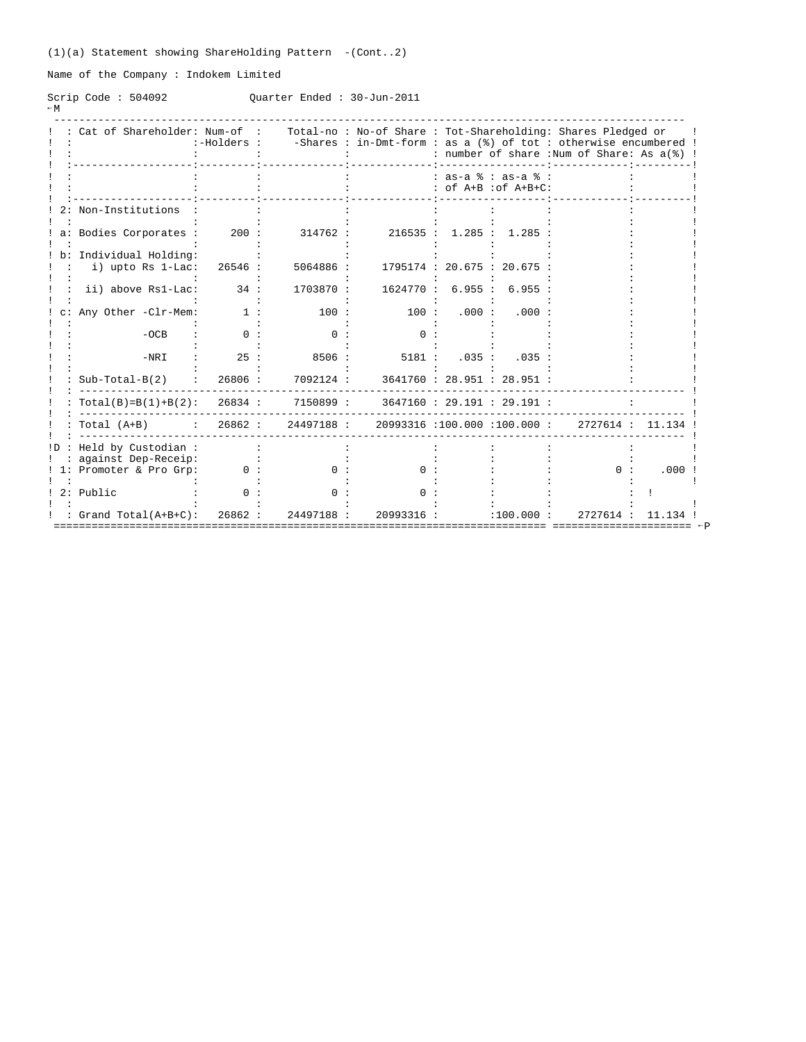(1)(a) Statement showing ShareHolding Pattern -(Cont..2)

Name of the Company : Indokem Limited

Scrip Code : 504092 Quarter Ended : 30-Jun-2011  $-W$ 

|     | Cat of Shareholder: Num-of :                                  | :-Holders : |           |            |        |                                               | Total-no: No-of Share: Tot-Shareholding: Shares Pledged or<br>-Shares : in-Dmt-form : as a (%) of tot : otherwise encumbered !<br>: number of share : Num of Share: As a(%) ! |       |
|-----|---------------------------------------------------------------|-------------|-----------|------------|--------|-----------------------------------------------|-------------------------------------------------------------------------------------------------------------------------------------------------------------------------------|-------|
|     |                                                               |             |           |            |        | $: as-a$ $: as-a$ $:$<br>: of A+B : of A+B+C: |                                                                                                                                                                               |       |
|     | Non-Institutions                                              |             |           |            |        |                                               |                                                                                                                                                                               |       |
|     | a: Bodies Corporates :                                        | 200:        | 314762 :  | 216535:    | 1.285: | 1.285                                         |                                                                                                                                                                               |       |
|     | Individual Holding:<br>i) upto Rs 1-Lac:                      | 26546 :     | 5064886 : |            |        | 1795174 : 20.675 : 20.675                     |                                                                                                                                                                               |       |
|     | ii) above Rs1-Lac:                                            | 34:         | 1703870:  | 1624770:   | 6.955: | 6.955:                                        |                                                                                                                                                                               |       |
|     | Any Other -Clr-Mem:                                           | 1:          | 100:      | 100:       | .000:  | .000:                                         |                                                                                                                                                                               |       |
|     | $-OCB$                                                        | ი :         | ი :       | n :        |        |                                               |                                                                                                                                                                               |       |
|     | $-NRI$                                                        | 25:         | 8506:     | 5181:      | .035:  | .035:                                         |                                                                                                                                                                               |       |
|     | $Sub-Total-B(2)$                                              | 26806 :     | 7092124 : |            |        | 3641760 : 28.951 : 28.951 :                   |                                                                                                                                                                               |       |
|     | $Total(B)=B(1)+B(2): 26834:$                                  |             | 7150899 : |            |        | 3647160 : 29.191 : 29.191 :                   |                                                                                                                                                                               |       |
|     | Total (A+B) : 26862 : 24497188 : 20993316 :100.000 :100.000 : |             |           |            |        |                                               | 2727614 : 11.134                                                                                                                                                              |       |
| !D. | Held by Custodian:                                            |             |           |            |        |                                               |                                                                                                                                                                               |       |
| 1:  | against Dep-Receip:<br>Promoter & Pro Grp:                    | 0:          | n :       | 0 :        |        |                                               | ი :                                                                                                                                                                           | .000  |
|     | 2: Public                                                     |             | $\Omega$  |            |        |                                               |                                                                                                                                                                               |       |
|     | : $Grand Total(A+B+C):$                                       | 26862:      | 24497188: | 20993316 : |        | :100.000:                                     | 2727614 :                                                                                                                                                                     | 11.13 |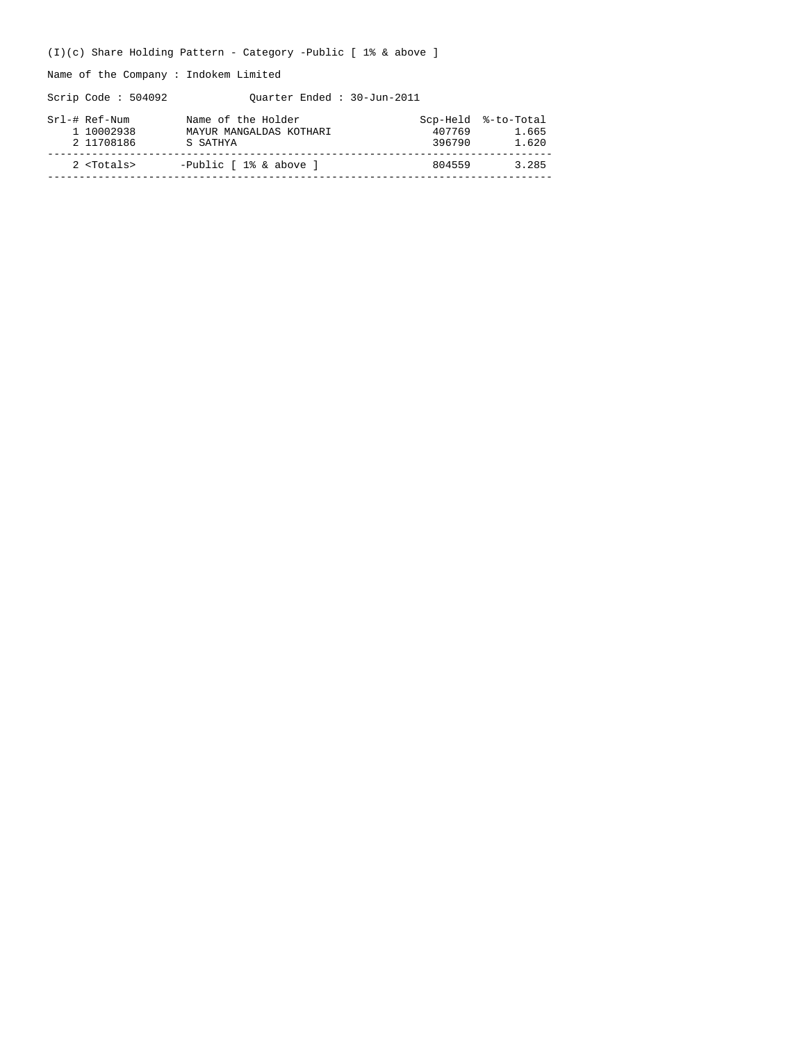(I)(c) Share Holding Pattern - Category -Public [ 1% & above ]

Name of the Company : Indokem Limited

Scrip Code : 504092 Quarter Ended : 30-Jun-2011

| Srl-# Ref-Num<br>1 10002938<br>2 11708186 | Name of the Holder<br>MAYUR MANGALDAS KOTHARI<br>S SATHYA | Scp-Held %-to-Total<br>407769<br>396790 | 1.665<br>1.620 |
|-------------------------------------------|-----------------------------------------------------------|-----------------------------------------|----------------|
| $2$ $<$ Totals>                           | -Public [ 1% & above ]                                    | 804559                                  | 3.285          |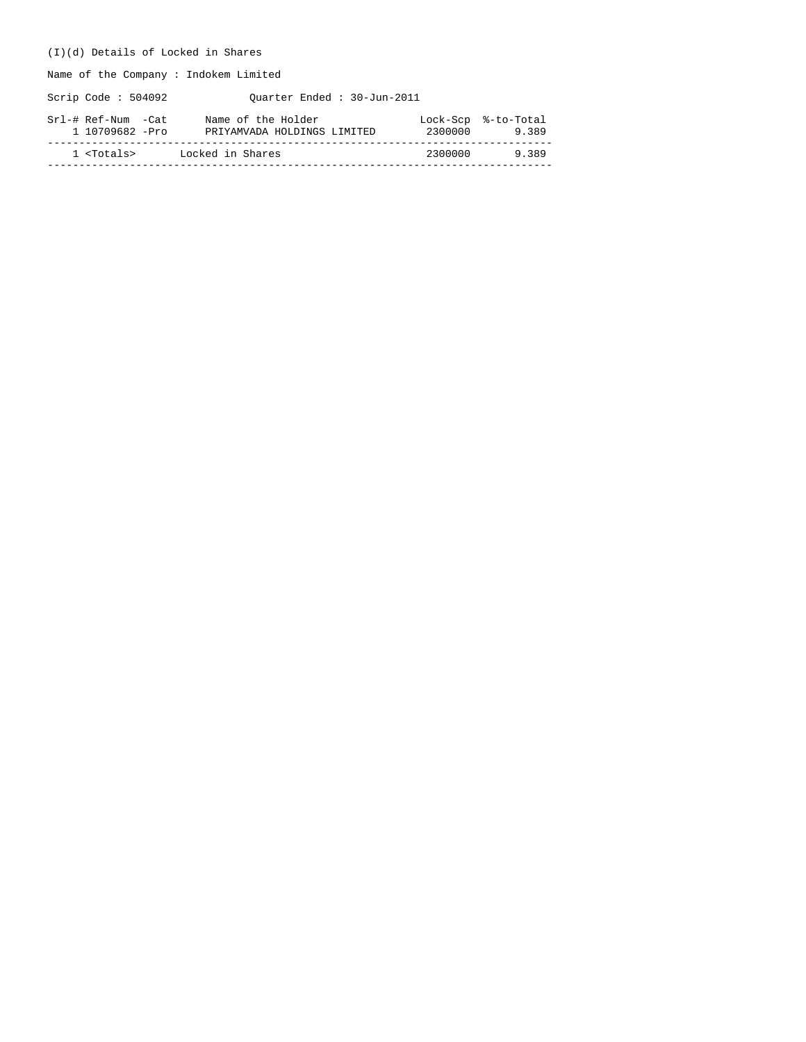# (I)(d) Details of Locked in Shares

Name of the Company : Indokem Limited

Scrip Code : 504092 Quarter Ended : 30-Jun-2011

| Srl-# Ref-Num -Cat  | Name of the Holder          | 2300000 | Lock-Scp %-to-Total |
|---------------------|-----------------------------|---------|---------------------|
| 1 10709682 -Pro     | PRIYAMVADA HOLDINGS LIMITED |         | 9389                |
| 1 <totals></totals> | Locked in Shares            | 2300000 | 9389                |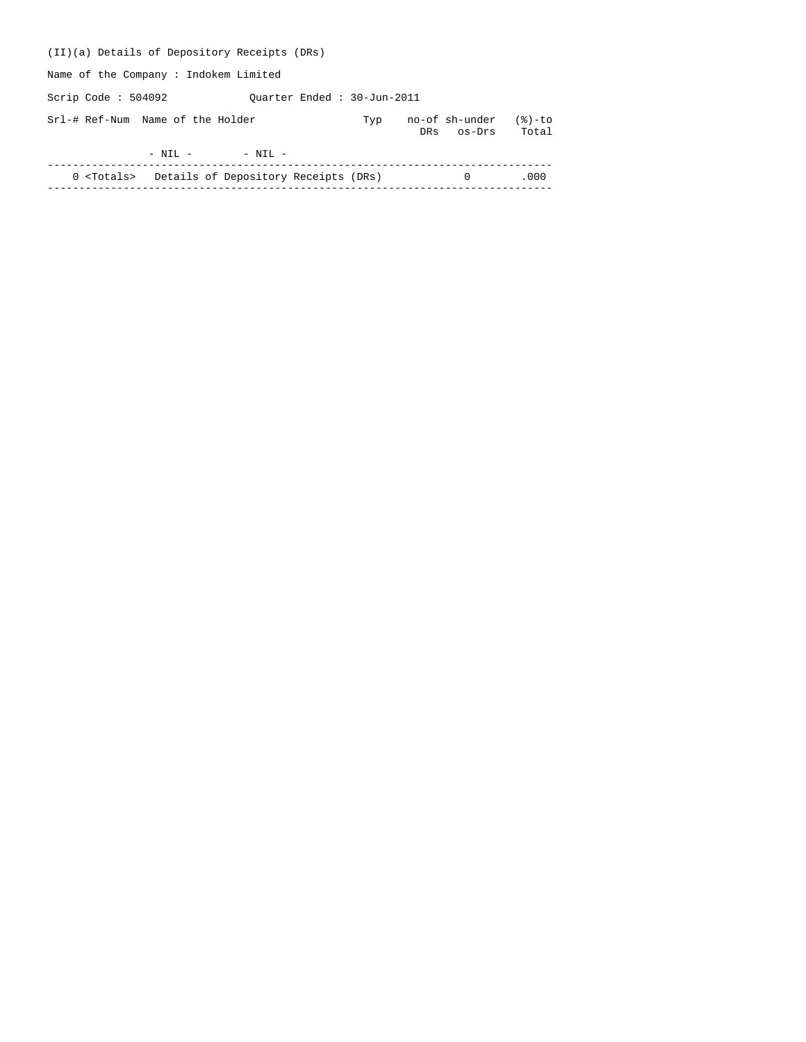| (II)(a) Details of Depository Receipts (DRs)             |     |     |                          |                    |
|----------------------------------------------------------|-----|-----|--------------------------|--------------------|
| Name of the Company: Indokem Limited                     |     |     |                          |                    |
| Scrip Code : $504092$<br>Ouarter Ended: 30-Jun-2011      |     |     |                          |                    |
| Srl-# Ref-Num Name of the Holder                         | Typ | DRs | no-of sh-under<br>os-Drs | $(8)-$ to<br>Total |
| $-$ NIL $-$<br>$-$ NIL $-$                               |     |     |                          |                    |
| 0 <totals> Details of Depository Receipts (DRs)</totals> |     |     | $\Omega$                 | .000               |
|                                                          |     |     |                          |                    |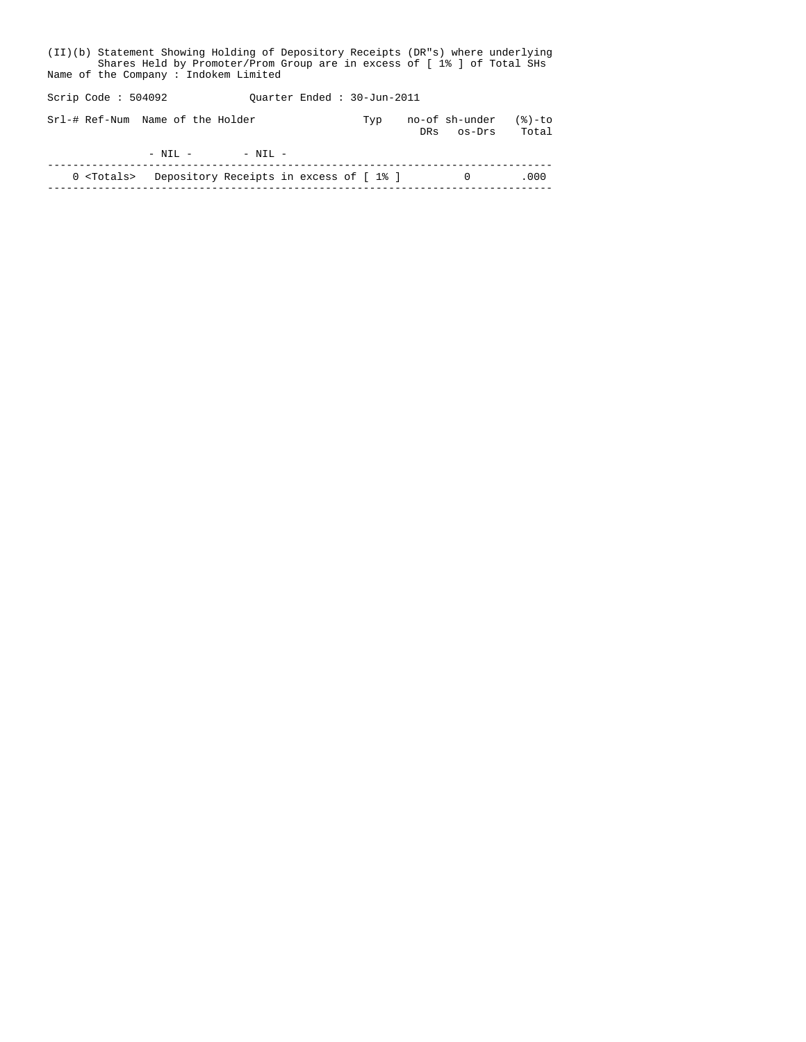| (II)(b) Statement Showing Holding of Depository Receipts (DR"s) where underlying<br>Shares Held by Promoter/Prom Group are in excess of [1% ] of Total SHs<br>Name of the Company: Indokem Limited |                                                     |                                                           |  |  |     |  |                              |                   |  |  |  |  |  |
|----------------------------------------------------------------------------------------------------------------------------------------------------------------------------------------------------|-----------------------------------------------------|-----------------------------------------------------------|--|--|-----|--|------------------------------|-------------------|--|--|--|--|--|
|                                                                                                                                                                                                    | Scrip Code : $504092$<br>Ouarter Ended: 30-Jun-2011 |                                                           |  |  |     |  |                              |                   |  |  |  |  |  |
|                                                                                                                                                                                                    |                                                     | Srl-# Ref-Num Name of the Holder                          |  |  | Typ |  | no-of sh-under<br>DRs os-Drs | $(8)-to$<br>Total |  |  |  |  |  |
|                                                                                                                                                                                                    |                                                     | $-$ NIL $ -$ NIL $-$                                      |  |  |     |  |                              |                   |  |  |  |  |  |
|                                                                                                                                                                                                    |                                                     | 0 <totals> Depository Receipts in excess of [1%]</totals> |  |  |     |  | $\Omega$                     | .000              |  |  |  |  |  |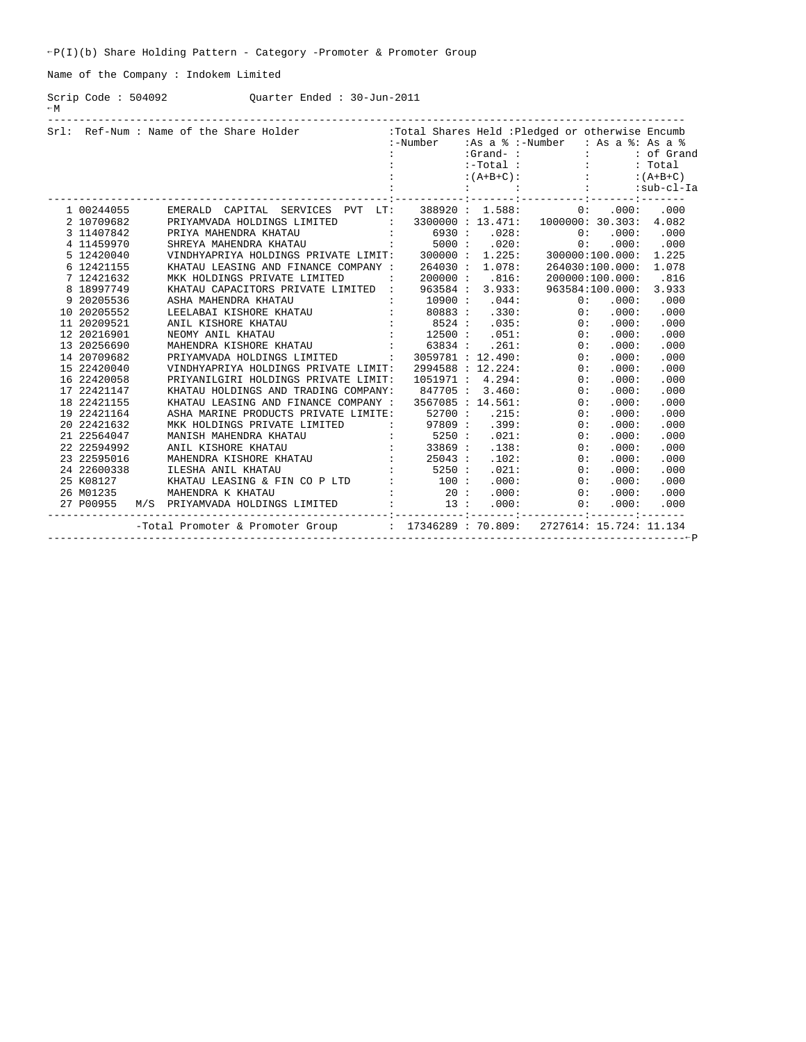Name of the Company : Indokem Limited

Scrip Code : 504092 Quarter Ended : 30-Jun-2011  $-M$ 

|             | Srl: Ref-Num : Name of the Share Holder : Total Shares Held : Pledged or otherwise Encumb                                                                                                                                         |            |       |                                            |                 |       |
|-------------|-----------------------------------------------------------------------------------------------------------------------------------------------------------------------------------------------------------------------------------|------------|-------|--------------------------------------------|-----------------|-------|
|             |                                                                                                                                                                                                                                   |            |       | :-Number :As a % :-Number : As a %: As a % |                 |       |
|             |                                                                                                                                                                                                                                   |            |       |                                            |                 |       |
|             |                                                                                                                                                                                                                                   |            |       |                                            |                 |       |
|             |                                                                                                                                                                                                                                   |            |       |                                            |                 |       |
|             |                                                                                                                                                                                                                                   |            |       |                                            |                 |       |
| 1 00244055  | EMERALD CAPITAL SERVICES PVT LT: 388920 : 1.588: 0: .000: .000                                                                                                                                                                    |            |       |                                            |                 |       |
| 2 10709682  | PRIYAMVADA HOLDINGS LIMITED : 3300000 : 13.471: 1000000: 30.303:                                                                                                                                                                  |            |       |                                            |                 | 4.082 |
| 3 11407842  |                                                                                                                                                                                                                                   |            |       |                                            |                 | .000  |
| 4 11459970  |                                                                                                                                                                                                                                   |            |       |                                            |                 | .000  |
| 5 12420040  |                                                                                                                                                                                                                                   |            |       |                                            |                 | 1.225 |
| 6 12421155  | KHATAU LEASING AND FINANCE COMPANY : 264030 : 1.078: 264030:100.000:                                                                                                                                                              |            |       |                                            |                 | 1.078 |
| 7 12421632  | MKK HOLDINGS PRIVATE LIMITED                                                                                                                                                                                                      | : 200000 : | .816: |                                            | 200000:100.000: | .816  |
| 8 18997749  | KHATAU CAPACITORS PRIVATE LIMITED : 963584 : 3.933: 963584:100.000:                                                                                                                                                               |            |       |                                            |                 | 3.933 |
| 9 20205536  |                                                                                                                                                                                                                                   |            |       |                                            |                 |       |
| 10 20205552 |                                                                                                                                                                                                                                   |            |       |                                            |                 |       |
| 11 20209521 |                                                                                                                                                                                                                                   |            |       |                                            |                 |       |
| 12 20216901 |                                                                                                                                                                                                                                   |            |       |                                            |                 |       |
| 13 20256690 |                                                                                                                                                                                                                                   |            |       |                                            |                 |       |
| 14 20709682 |                                                                                                                                                                                                                                   |            |       |                                            |                 |       |
| 15 22420040 |                                                                                                                                                                                                                                   |            |       |                                            |                 |       |
| 16 22420058 |                                                                                                                                                                                                                                   |            |       |                                            |                 |       |
| 17 22421147 |                                                                                                                                                                                                                                   |            |       |                                            |                 |       |
| 18 22421155 |                                                                                                                                                                                                                                   |            |       |                                            |                 |       |
| 19 22421164 |                                                                                                                                                                                                                                   |            |       |                                            |                 |       |
| 20 22421632 |                                                                                                                                                                                                                                   |            |       |                                            |                 |       |
| 21 22564047 |                                                                                                                                                                                                                                   |            |       |                                            |                 |       |
| 22 22594992 |                                                                                                                                                                                                                                   |            |       |                                            |                 |       |
| 23 22595016 |                                                                                                                                                                                                                                   |            |       |                                            |                 |       |
| 24 22600338 |                                                                                                                                                                                                                                   |            |       |                                            |                 |       |
| 25 K08127   |                                                                                                                                                                                                                                   |            |       |                                            |                 |       |
| 26 M01235   |                                                                                                                                                                                                                                   |            |       |                                            |                 |       |
| 27 P00955   | 3. ARIAN CAPACITORS PRIVATE LIMITED : 063584 : 3.933<br>3.933<br>ABEN MARENDRA KIRATAU : 10900 : 044: 0)<br>LEELABAI KISHORE KHATAU : 10900 : 0000 : 0000 : 0000 : 0000 : 0000 : 0000 : 0000 : 0000 : 0000 : 0000 : 0000 : 0000 : |            |       |                                            |                 |       |
|             |                                                                                                                                                                                                                                   |            |       |                                            |                 |       |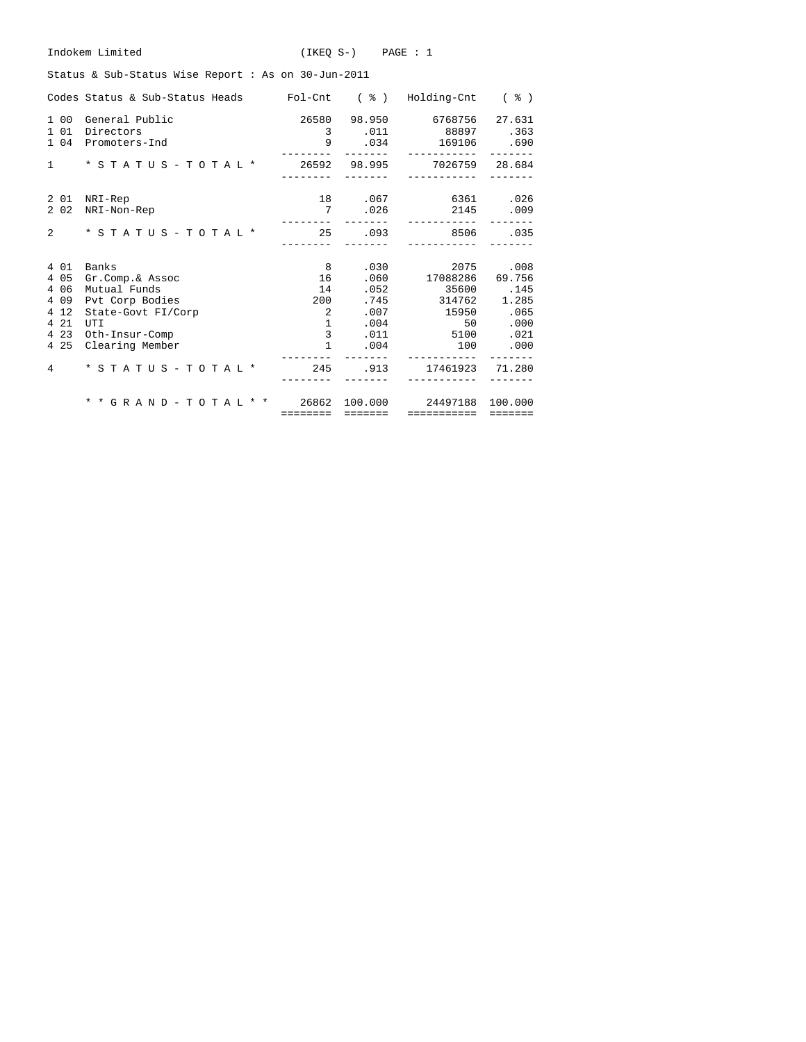| Indokem Limited<br>$(IKEO S-)$ $PAGE : 1$                                               |                 |                  |                                                                                |                |  |  |  |  |  |  |  |  |  |
|-----------------------------------------------------------------------------------------|-----------------|------------------|--------------------------------------------------------------------------------|----------------|--|--|--|--|--|--|--|--|--|
| Status & Sub-Status Wise Report : As on 30-Jun-2011                                     |                 |                  |                                                                                |                |  |  |  |  |  |  |  |  |  |
| Codes Status & Sub-Status Heads Fol-Cnt ( $\frac{1}{6}$ ) Holding-Cnt ( $\frac{2}{3}$ ) |                 |                  |                                                                                |                |  |  |  |  |  |  |  |  |  |
| 1 00<br>General Public<br>1 0 1<br>Directors<br>1 0 4<br>Promoters-Ind                  |                 |                  | 26580 98.950 6768756<br>3 .011 88897 .363<br>9 .034 169106 .690<br>___________ | 27.631         |  |  |  |  |  |  |  |  |  |
| * S T A T U S - T O T A L * 26592 98.995 7026759 28.684<br>$\mathbf{1}$                 | ---------       | --------         | ------------                                                                   |                |  |  |  |  |  |  |  |  |  |
| 2 01 NRI-Rep<br>2 0 2<br>NRI-Non-Rep                                                    | ---------       | 7.026            | 18 .067 6361 .026<br>2145 .009<br>-----------                                  |                |  |  |  |  |  |  |  |  |  |
| $\overline{2}$<br>$*$ STATUS - TOTAL $*$                                                | ---------       | --------         | 25 .093 8506<br>------------                                                   | 0.35           |  |  |  |  |  |  |  |  |  |
| 4 0 1<br>Banks                                                                          | $8 - 8$         |                  | .030                                                                           | 2075 .008      |  |  |  |  |  |  |  |  |  |
| 4 0 5<br>Gr.Comp.& Assoc                                                                | 16              |                  | .060 17088286                                                                  | 69.756         |  |  |  |  |  |  |  |  |  |
| 4 0 6<br>Mutual Funds                                                                   | 14              | .052             | 35600                                                                          | .145           |  |  |  |  |  |  |  |  |  |
| 4 0 9<br>Pvt Corp Bodies                                                                | 200<br>$\sim$ 2 |                  | .745 314762 1.285                                                              |                |  |  |  |  |  |  |  |  |  |
| 4 1 2<br>State-Govt FI/Corp<br>4 2 1<br>UTI                                             |                 | $1 \quad \cdots$ | $.007$ 15950 $.065$<br>.004<br>50                                              | .000           |  |  |  |  |  |  |  |  |  |
| 4 2 3<br>Oth-Insur-Comp                                                                 |                 | $3^{\circ}$      | $.011$ 5100                                                                    | .021           |  |  |  |  |  |  |  |  |  |
| 4 2 5<br>Clearing Member                                                                | $\mathbf{1}$    |                  | $.004$ 100                                                                     | .000           |  |  |  |  |  |  |  |  |  |
| * S T A T U S - T O T A L * 245 .913 17461923 71.280<br>4                               |                 |                  |                                                                                |                |  |  |  |  |  |  |  |  |  |
| * * G R A N D - T O T A L * * 26862 100.000                                             |                 |                  | 24497188 100.000                                                               |                |  |  |  |  |  |  |  |  |  |
|                                                                                         |                 |                  |                                                                                | <b>EEEEEEE</b> |  |  |  |  |  |  |  |  |  |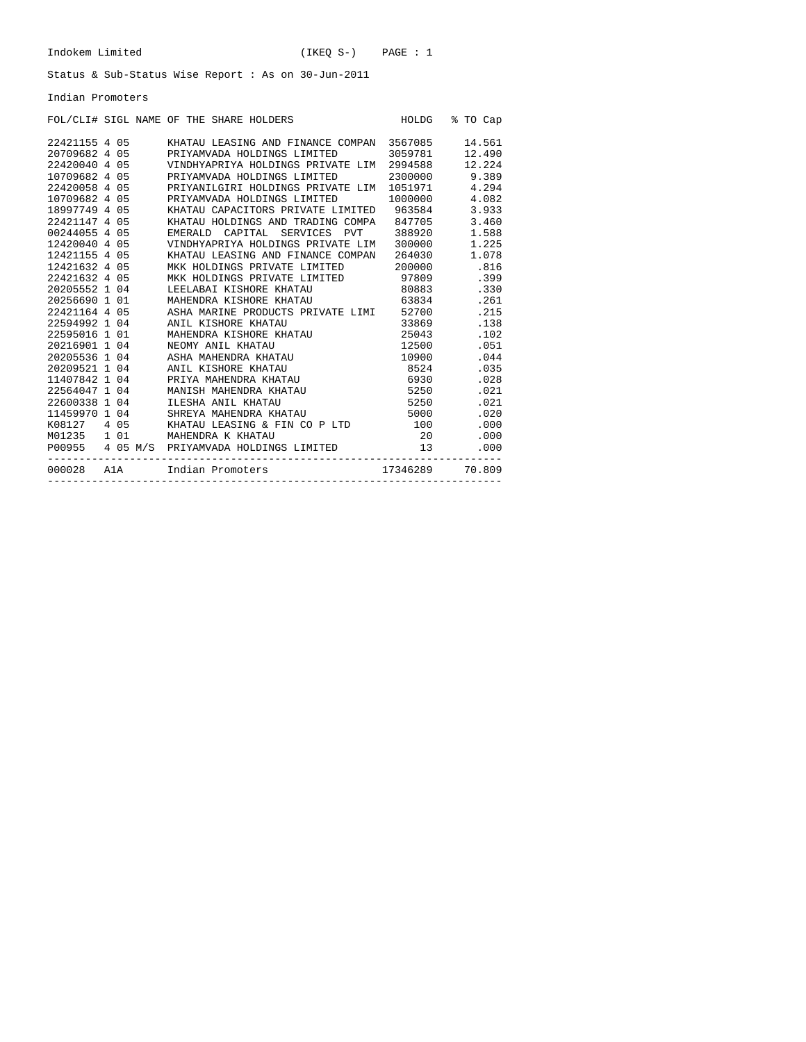Indian Promoters

| FOL/CLI# SIGL NAME OF THE SHARE HOLDERS       |  |  |                                                |  |  |  | HOLDG % TO Cap                                |  |        |
|-----------------------------------------------|--|--|------------------------------------------------|--|--|--|-----------------------------------------------|--|--------|
| 22421155 4 05                                 |  |  | KHATAU LEASING AND FINANCE COMPAN 3567085      |  |  |  |                                               |  | 14.561 |
| 20709682 4 05                                 |  |  | PRIYAMVADA HOLDINGS LIMITED 3059781            |  |  |  |                                               |  | 12.490 |
| 22420040 4 05                                 |  |  | VINDHYAPRIYA HOLDINGS PRIVATE LIM              |  |  |  | 2994588                                       |  | 12.224 |
| 10709682 4 05                                 |  |  | PRIYAMVADA HOLDINGS LIMITED                    |  |  |  | 2300000 9.389                                 |  |        |
| 22420058 4 05                                 |  |  | PRIYANILGIRI HOLDINGS PRIVATE LIM              |  |  |  | 1051971 4.294                                 |  |        |
| 10709682 4 05                                 |  |  | PRIYAMVADA HOLDINGS LIMITED                    |  |  |  | 1000000 4.082                                 |  |        |
| 18997749 4 05                                 |  |  | KHATAU CAPACITORS PRIVATE LIMITED 963584 3.933 |  |  |  |                                               |  |        |
| 22421147 4 05                                 |  |  | KHATAU HOLDINGS AND TRADING COMPA 847705 3.460 |  |  |  |                                               |  |        |
| 00244055 4 05                                 |  |  | EMERALD CAPITAL SERVICES PVT 388920 1.588      |  |  |  |                                               |  |        |
| 12420040 4 05                                 |  |  | VINDHYAPRIYA HOLDINGS PRIVATE LIM 300000 1.225 |  |  |  |                                               |  |        |
| 12421155 4 05                                 |  |  | KHATAU LEASING AND FINANCE COMPAN 264030 1.078 |  |  |  |                                               |  |        |
| 12421632 4 05                                 |  |  | MKK HOLDINGS PRIVATE LIMITED 200000 .816       |  |  |  |                                               |  |        |
| 22421632 4 05                                 |  |  | MKK HOLDINGS PRIVATE LIMITED 97809 .399        |  |  |  |                                               |  |        |
| 20205552 1 04                                 |  |  | LEELABAI KISHORE KHATAU 60883 .330             |  |  |  |                                               |  |        |
| 20256690 1 01                                 |  |  | MAHENDRA KISHORE KHATAU 63834 .261             |  |  |  |                                               |  |        |
| 22421164 4 05                                 |  |  | ASHA MARINE PRODUCTS PRIVATE LIMI 52700 .215   |  |  |  |                                               |  |        |
| 22594992 1 04                                 |  |  | ANIL KISHORE KHATAU                            |  |  |  | 33869                                         |  | .138   |
| 22595016 1 01                                 |  |  | MAHENDRA KISHORE KHATAU 25043                  |  |  |  |                                               |  | .102   |
| 20216901 1 04                                 |  |  | NEOMY ANIL KHATAU                              |  |  |  |                                               |  | .051   |
| 20205536 1 04                                 |  |  | ASHA MAHENDRA KHATAU                           |  |  |  |                                               |  | .044   |
| 20209521 1 04                                 |  |  | ANIL KISHORE KHATAU                            |  |  |  | $\frac{12500}{10900}$<br>$\frac{10900}{8524}$ |  | .035   |
| 11407842 1 04                                 |  |  | PRIYA MAHENDRA KHATAU                          |  |  |  | 6930                                          |  | .028   |
| 22564047 1 04                                 |  |  | MANISH MAHENDRA KHATAU                         |  |  |  | $5250$<br>$5250$                              |  | .021   |
| 22600338 1 04                                 |  |  | ILESHA ANIL KHATAU                             |  |  |  | 5250                                          |  | .021   |
| 11459970 1 04                                 |  |  | SHREYA MAHENDRA KHATAU                         |  |  |  | 5000                                          |  | .020   |
| K08127 4 05 KHATAU LEASING & FIN CO P LTD 100 |  |  |                                                |  |  |  |                                               |  | .000   |
|                                               |  |  |                                                |  |  |  |                                               |  | .000   |
|                                               |  |  |                                                |  |  |  |                                               |  | .000   |
| 000028 Ala Indian Promoters 17346289 70.809   |  |  |                                                |  |  |  |                                               |  |        |
|                                               |  |  |                                                |  |  |  |                                               |  |        |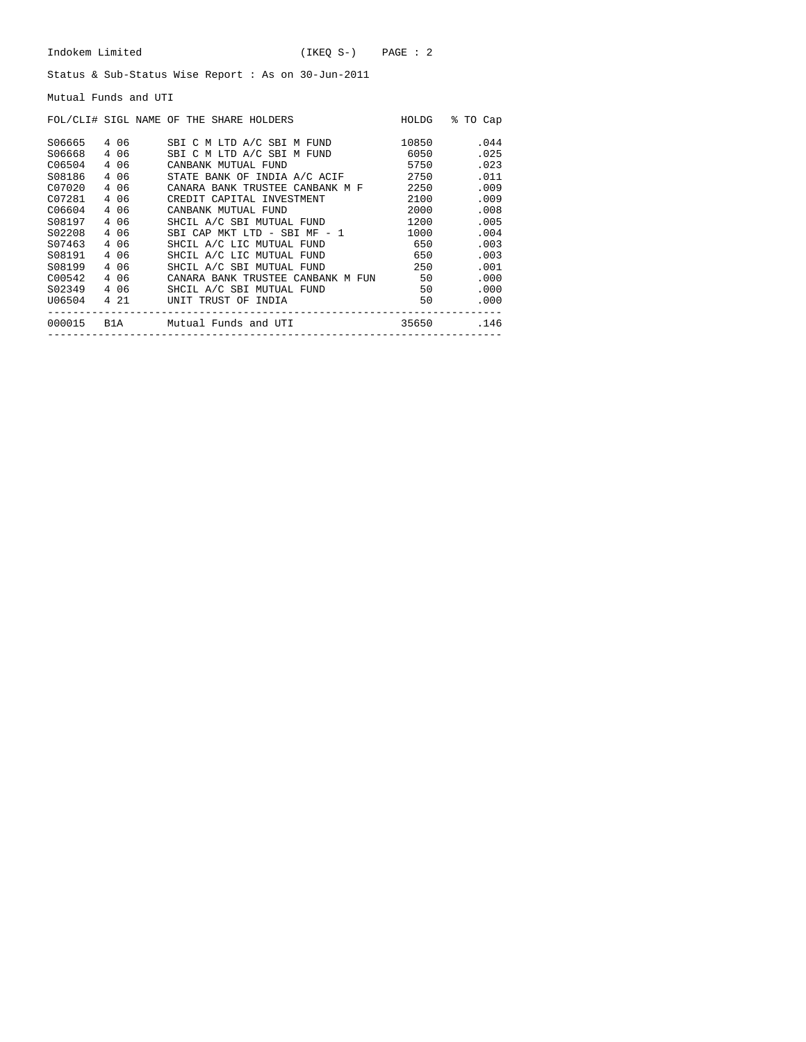Mutual Funds and UTI

|        |       | FOL/CLI# SIGL NAME OF THE SHARE HOLDERS | HOLDG | % TO Cap |
|--------|-------|-----------------------------------------|-------|----------|
| S06665 | 406   | SBI C M LTD A/C SBI M FUND              | 10850 | .044     |
| S06668 | 4 0 6 | SBI C M LTD A/C SBI M FUND              | 6050  | .025     |
| C06504 | 4 0 6 | CANBANK MUTUAL FUND                     | 5750  | .023     |
| S08186 | 4 0 6 | STATE BANK OF INDIA A/C ACIF            | 2750  | .011     |
| C07020 | 4 0 6 | CANARA BANK TRUSTEE CANBANK M F         | 2250  | .009     |
| C07281 | 4 06  | CREDIT CAPITAL INVESTMENT               | 2100  | .009     |
| C06604 | 4 0 6 | CANBANK MUTUAL FUND                     | 2000  | .008     |
| S08197 | 4 0 6 | SHCIL A/C SBI MUTUAL FUND               | 1200  | .005     |
| S02208 | 4 06  | SBI CAP MKT LTD - SBI MF - 1            | 1000  | .004     |
| S07463 | 4 0 6 | SHCIL A/C LIC MUTUAL FUND               | 650   | .003     |
| S08191 | 4 06  | SHCIL A/C LIC MUTUAL FUND               | 650   | .003     |
| S08199 | 4 0 6 | SHCIL A/C SBI MUTUAL FUND               | 250   | .001     |
| C00542 | 4 06  | CANARA BANK TRUSTEE CANBANK M FUN 50    |       | .000     |
| S02349 | 4 06  | SHCIL A/C SBI MUTUAL FUND               | 50    | .000     |
| U06504 | 4 21  | UNIT TRUST OF INDIA                     | 50    | .000     |
| 000015 | B1A   | Mutual Funds and UTI                    | 35650 | .146     |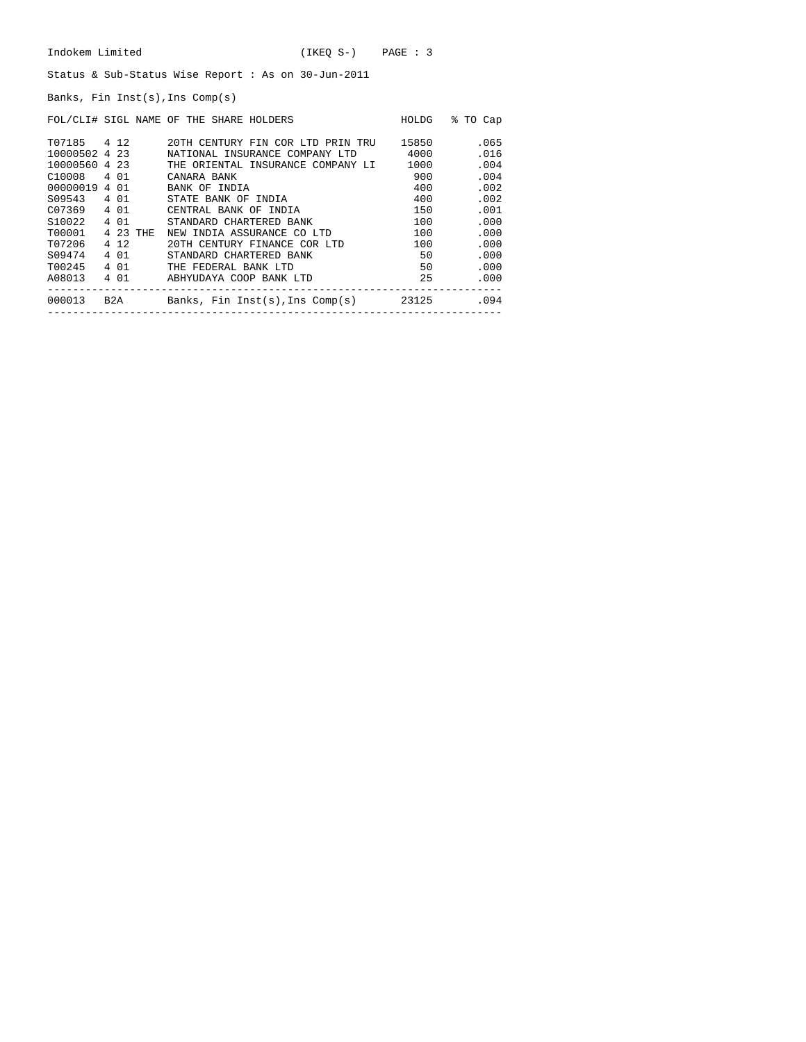Banks, Fin Inst(s),Ins Comp(s)

|                    |          | FOL/CLI# SIGL NAME OF THE SHARE HOLDERS  | HOLDG | % TO Cap |
|--------------------|----------|------------------------------------------|-------|----------|
| T07185 4 12        |          | 20TH CENTURY FIN COR LTD PRIN TRU        | 15850 | .065     |
| 10000502 4 23      |          | NATIONAL INSURANCE COMPANY LTD           | 4000  | .016     |
| 10000560 4 23      |          | THE ORIENTAL INSURANCE COMPANY LI        | 1000  | .004     |
| C10008 4 01        |          | CANARA BANK                              | 900   | .004     |
| 00000019 4 01      |          | BANK OF INDIA                            | 400   | .002     |
| S09543 4 01        |          | STATE BANK OF INDIA                      | 400   | .002     |
| C07369             | 4 01     | CENTRAL BANK OF INDIA                    | 150   | .001     |
| S <sub>10022</sub> | 4 0 1    | STANDARD CHARTERED BANK                  | 100   | .000     |
| T00001             | 4 23 THE | NEW INDIA ASSURANCE CO LTD               | 100   | .000     |
| T07206             | 4 1 2    | 20TH CENTURY FINANCE COR LTD             | 100   | .000     |
| S09474             | 4 0 1    | STANDARD CHARTERED BANK                  | 50    | .000     |
| T00245             | 4 0 1    | THE FEDERAL BANK LTD                     | 50    | .000     |
| A08013             | 4 0 1    | ABHYUDAYA COOP BANK LTD                  | 25    | .000     |
| 000013             |          | B2A Banks, Fin Inst(s),Ins Comp(s) 23125 |       | .094     |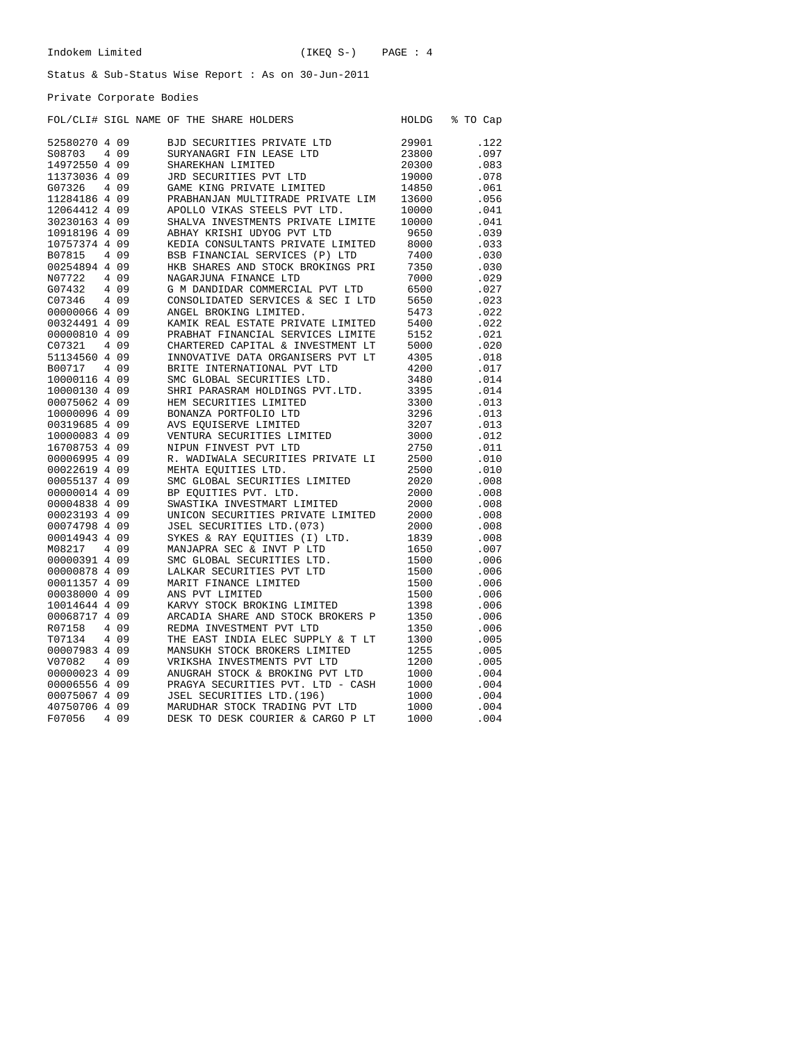### Private Corporate Bodies

|               |       | FOL/CLI# SIGL NAME OF THE SHARE HOLDERS | HOLDG | % TO Cap |
|---------------|-------|-----------------------------------------|-------|----------|
| 52580270 4 09 |       | BJD SECURITIES PRIVATE LTD              | 29901 | .122     |
| S08703        | 4 0 9 | SURYANAGRI FIN LEASE LTD                | 23800 | .097     |
| 14972550 4 09 |       | SHAREKHAN LIMITED                       | 20300 | .083     |
| 11373036 4 09 |       | JRD SECURITIES PVT LTD                  | 19000 | .078     |
| G07326        | 4 0 9 | GAME KING PRIVATE LIMITED               | 14850 | .061     |
| 11284186 4 09 |       | PRABHANJAN MULTITRADE PRIVATE LIM       | 13600 | .056     |
| 12064412 4 09 |       | APOLLO VIKAS STEELS PVT LTD.            | 10000 | .041     |
| 30230163 4 09 |       | SHALVA INVESTMENTS PRIVATE LIMITE       | 10000 | .041     |
| 10918196 4 09 |       | ABHAY KRISHI UDYOG PVT LTD              | 9650  | .039     |
| 10757374 4 09 |       | KEDIA CONSULTANTS PRIVATE LIMITED       | 8000  | .033     |
| B07815        | 4 0 9 | BSB FINANCIAL SERVICES (P) LTD          | 7400  | .030     |
| 00254894 4 09 |       | HKB SHARES AND STOCK BROKINGS PRI       | 7350  | .030     |
| N07722        | 4 0 9 | NAGARJUNA FINANCE LTD                   | 7000  | .029     |
| G07432        | 4 0 9 | G M DANDIDAR COMMERCIAL PVT LTD         | 6500  | .027     |
| C07346        | 4 0 9 | CONSOLIDATED SERVICES & SEC I LTD       | 5650  | .023     |
| 00000066 4 09 |       | ANGEL BROKING LIMITED.                  | 5473  | .022     |
| 00324491 4 09 |       | KAMIK REAL ESTATE PRIVATE LIMITED       | 5400  | .022     |
| 00000810 4 09 |       | PRABHAT FINANCIAL SERVICES LIMITE       | 5152  | .021     |
| C07321        | 4 0 9 | CHARTERED CAPITAL & INVESTMENT LT       | 5000  | .020     |
| 51134560 4 09 |       | INNOVATIVE DATA ORGANISERS PVT LT       | 4305  | .018     |
| B00717        | 4 0 9 | BRITE INTERNATIONAL PVT LTD             | 4200  | .017     |
| 10000116 4 09 |       | SMC GLOBAL SECURITIES LTD.              | 3480  | .014     |
| 10000130 4 09 |       | SHRI PARASRAM HOLDINGS PVT.LTD.         | 3395  | .014     |
| 00075062 4 09 |       | HEM SECURITIES LIMITED                  | 3300  | .013     |
| 10000096 4 09 |       | BONANZA PORTFOLIO LTD                   | 3296  | .013     |
| 00319685 4 09 |       | AVS EOUISERVE LIMITED                   | 3207  | .013     |
| 10000083 4 09 |       | VENTURA SECURITIES LIMITED              | 3000  | .012     |
| 16708753 4 09 |       | NIPUN FINVEST PVT LTD                   | 2750  | .011     |
| 00006995 4 09 |       | R. WADIWALA SECURITIES PRIVATE LI       | 2500  | .010     |
| 00022619 4 09 |       | MEHTA EOUITIES LTD.                     | 2500  | .010     |
| 00055137 4 09 |       | SMC GLOBAL SECURITIES LIMITED           | 2020  | .008     |
| 00000014 4 09 |       | BP EOUITIES PVT. LTD.                   | 2000  | .008     |
| 00004838 4 09 |       | SWASTIKA INVESTMART LIMITED             | 2000  | .008     |
| 00023193 4 09 |       | UNICON SECURITIES PRIVATE LIMITED       | 2000  | .008     |
| 00074798 4 09 |       | JSEL SECURITIES LTD. (073)              | 2000  | .008     |
| 00014943 4 09 |       | SYKES & RAY EOUITIES (I) LTD.           | 1839  | .008     |
| M08217        | 4 0 9 | MANJAPRA SEC & INVT P LTD               | 1650  | .007     |
| 00000391 4 09 |       | SMC GLOBAL SECURITIES LTD.              | 1500  | .006     |
| 00000878 4 09 |       | LALKAR SECURITIES PVT LTD               | 1500  | .006     |
| 00011357 4 09 |       | MARIT FINANCE LIMITED                   | 1500  | .006     |
| 00038000 4 09 |       | ANS PVT LIMITED                         | 1500  | .006     |
| 10014644 4 09 |       | KARVY STOCK BROKING LIMITED             | 1398  | .006     |
| 00068717 4 09 |       | ARCADIA SHARE AND STOCK BROKERS P       | 1350  | .006     |
| R07158        | 4 0 9 | REDMA INVESTMENT PVT LTD                | 1350  | .006     |
| T07134        | 4 0 9 | THE EAST INDIA ELEC SUPPLY & T LT       | 1300  | .005     |
| 00007983 4 09 |       | MANSUKH STOCK BROKERS LIMITED           | 1255  | .005     |
| V07082        | 4 0 9 | VRIKSHA INVESTMENTS PVT LTD             | 1200  | .005     |
| 00000023 4 09 |       | ANUGRAH STOCK & BROKING PVT LTD         | 1000  | .004     |
| 00006556 4 09 |       | PRAGYA SECURITIES PVT. LTD - CASH       | 1000  | .004     |
| 00075067 4 09 |       | JSEL SECURITIES LTD. (196)              | 1000  | .004     |
| 40750706 4 09 |       | MARUDHAR STOCK TRADING PVT LTD          | 1000  | .004     |
| F07056        | 4 0 9 | DESK TO DESK COURIER & CARGO P LT       | 1000  | .004     |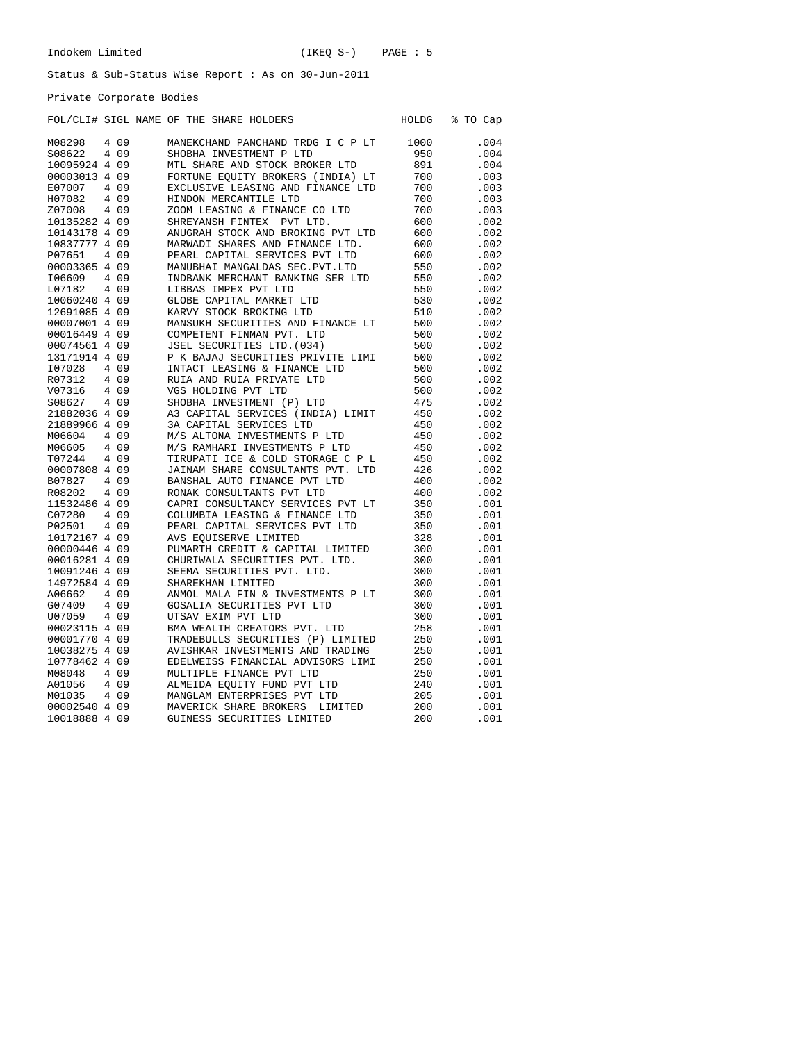Private Corporate Bodies

## FOL/CLI# SIGL NAME OF THE SHARE HOLDERS HOLDG % TO Cap

| M08298        | 4 0 9 | MANEKCHAND PANCHAND TRDG I C P LT | 1000 | .004 |
|---------------|-------|-----------------------------------|------|------|
| S08622        | 4 0 9 | SHOBHA INVESTMENT P LTD           | 950  | .004 |
| 10095924 4 09 |       | MTL SHARE AND STOCK BROKER LTD    | 891  | .004 |
| 00003013 4 09 |       | FORTUNE EQUITY BROKERS (INDIA) LT | 700  | .003 |
| E07007        | 4 0 9 | EXCLUSIVE LEASING AND FINANCE LTD | 700  | .003 |
| H07082        | 4 0 9 | HINDON MERCANTILE LTD             | 700  | .003 |
| Z07008        | 4 0 9 | ZOOM LEASING & FINANCE CO LTD     | 700  | .003 |
| 10135282 4 09 |       | SHREYANSH FINTEX<br>PVT LTD.      | 600  | .002 |
| 10143178 4 09 |       | ANUGRAH STOCK AND BROKING PVT LTD | 600  | .002 |
| 10837777 4 09 |       | MARWADI SHARES AND FINANCE LTD.   | 600  | .002 |
| P07651        | 4 0 9 | PEARL CAPITAL SERVICES PVT LTD    | 600  | .002 |
| 00003365 4 09 |       | MANUBHAI MANGALDAS SEC. PVT. LTD  | 550  | .002 |
| I06609        | 4 0 9 | INDBANK MERCHANT BANKING SER LTD  | 550  | .002 |
| L07182        | 4 0 9 | LIBBAS IMPEX PVT LTD              | 550  | .002 |
| 10060240 4 09 |       | GLOBE CAPITAL MARKET LTD          | 530  | .002 |
| 12691085 4 09 |       | KARVY STOCK BROKING LTD           | 510  | .002 |
| 00007001 4 09 |       | MANSUKH SECURITIES AND FINANCE LT | 500  | .002 |
| 00016449 4 09 |       | COMPETENT FINMAN PVT. LTD         | 500  | .002 |
| 00074561 4 09 |       | JSEL SECURITIES LTD. (034)        | 500  | .002 |
| 13171914 4 09 |       | P K BAJAJ SECURITIES PRIVITE LIMI | 500  | .002 |
| I07028        | 4 0 9 | INTACT LEASING & FINANCE LTD      | 500  | .002 |
| R07312        | 4 0 9 | RUIA AND RUIA PRIVATE LTD         | 500  | .002 |
| V07316        | 4 0 9 | VGS HOLDING PVT LTD               | 500  | .002 |
| S08627        | 4 0 9 | SHOBHA INVESTMENT (P) LTD         | 475  | .002 |
| 21882036 4 09 |       | A3 CAPITAL SERVICES (INDIA) LIMIT | 450  | .002 |
| 21889966 4 09 |       | 3A CAPITAL SERVICES LTD           | 450  | .002 |
| M06604        | 4 0 9 | M/S ALTONA INVESTMENTS P LTD      | 450  | .002 |
| M06605        | 4 0 9 | M/S RAMHARI INVESTMENTS P LTD     | 450  | .002 |
| T07244        | 4 0 9 | TIRUPATI ICE & COLD STORAGE C P L | 450  | .002 |
| 00007808 4 09 |       | JAINAM SHARE CONSULTANTS PVT. LTD | 426  | .002 |
| B07827        | 4 0 9 | BANSHAL AUTO FINANCE PVT LTD      | 400  | .002 |
| R08202        | 4 0 9 | RONAK CONSULTANTS PVT LTD         | 400  | .002 |
| 11532486 4 09 |       | CAPRI CONSULTANCY SERVICES PVT LT | 350  | .001 |
| C07280        | 4 0 9 | COLUMBIA LEASING & FINANCE LTD    | 350  | .001 |
| P02501        | 4 0 9 | PEARL CAPITAL SERVICES PVT LTD    | 350  | .001 |
| 10172167 4 09 |       | AVS EOUISERVE LIMITED             | 328  | .001 |
| 00000446 4 09 |       | PUMARTH CREDIT & CAPITAL LIMITED  | 300  | .001 |
| 00016281 4 09 |       | CHURIWALA SECURITIES PVT. LTD.    | 300  | .001 |
| 10091246 4 09 |       | SEEMA SECURITIES PVT. LTD.        | 300  | .001 |
| 14972584 4 09 |       | SHAREKHAN LIMITED                 | 300  | .001 |
| A06662        | 4 0 9 | ANMOL MALA FIN & INVESTMENTS P LT | 300  | .001 |
| G07409        | 4 0 9 | GOSALIA SECURITIES PVT LTD        | 300  | .001 |
| U07059        | 4 0 9 | UTSAV EXIM PVT LTD                | 300  | .001 |
| 00023115 4 09 |       | BMA WEALTH CREATORS PVT. LTD      | 258  | .001 |
| 00001770 4 09 |       | TRADEBULLS SECURITIES (P) LIMITED | 250  | .001 |
| 10038275 4 09 |       | AVISHKAR INVESTMENTS AND TRADING  | 250  | .001 |
| 10778462 4 09 |       | EDELWEISS FINANCIAL ADVISORS LIMI | 250  | .001 |
| M08048        | 4 0 9 | MULTIPLE FINANCE PVT LTD          | 250  | .001 |
| A01056        | 4 0 9 | ALMEIDA EQUITY FUND PVT LTD       | 240  | .001 |
| M01035        | 4 0 9 | MANGLAM ENTERPRISES PVT LTD       | 205  | .001 |
| 00002540 4 09 |       | MAVERICK SHARE BROKERS<br>LIMITED | 200  | .001 |
| 10018888 4 09 |       | GUINESS SECURITIES LIMITED        | 200  | .001 |
|               |       |                                   |      |      |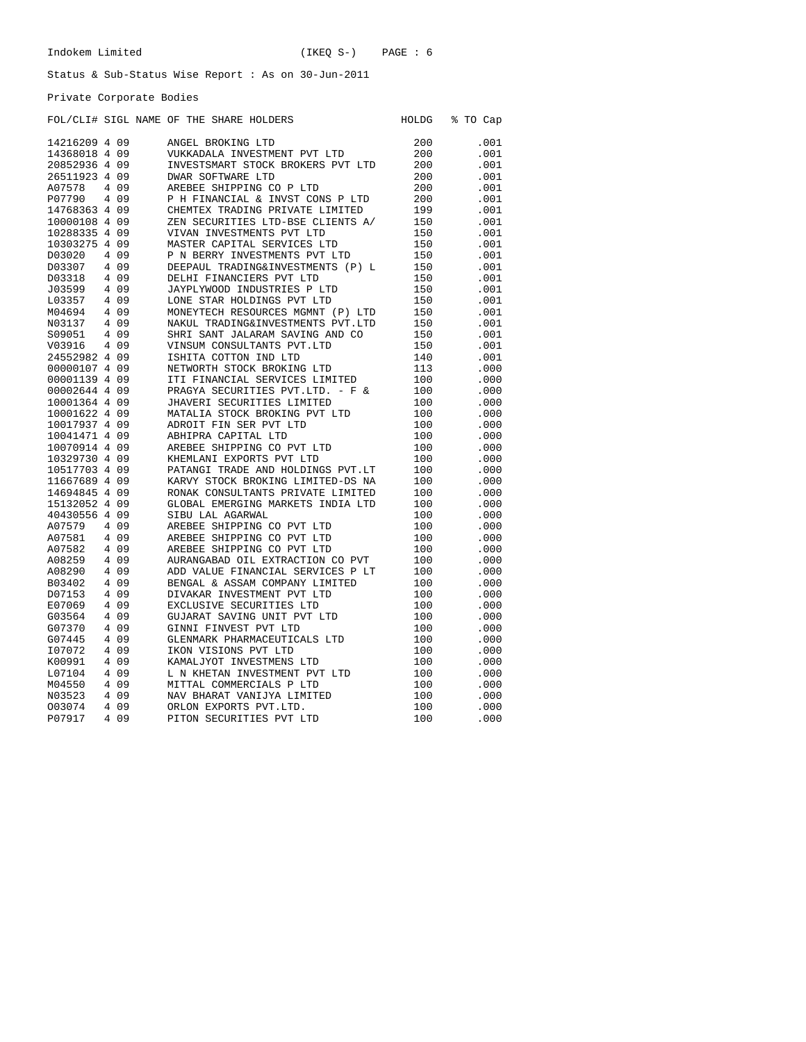Private Corporate Bodies

|               |                |       |  |  | FOL/CLI# SIGL NAME OF THE SHARE HOLDERS | HOLDG | % TO Cap |
|---------------|----------------|-------|--|--|-----------------------------------------|-------|----------|
| 14216209 4 09 |                |       |  |  | ANGEL BROKING LTD                       | 200   | .001     |
| 14368018 4 09 |                |       |  |  | VUKKADALA INVESTMENT PVT LTD            | 200   | .001     |
| 20852936 4    |                | 09    |  |  | INVESTSMART STOCK BROKERS PVT LTD       | 200   | .001     |
| 26511923 4 09 |                |       |  |  | <b>DWAR SOFTWARE LTD</b>                | 200   | .001     |
| A07578        |                | 4 0 9 |  |  | AREBEE SHIPPING CO P LTD                | 200   | .001     |
| P07790        |                | 4 0 9 |  |  | P H FINANCIAL & INVST CONS P LTD        | 200   | .001     |
| 14768363 4 09 |                |       |  |  | CHEMTEX TRADING PRIVATE LIMITED         | 199   | .001     |
| 10000108 4    |                | 09    |  |  | ZEN SECURITIES LTD-BSE CLIENTS A/       | 150   | .001     |
| 10288335 4    |                | 09    |  |  | VIVAN INVESTMENTS PVT LTD               | 150   | .001     |
| 10303275 4    |                | 09    |  |  | MASTER CAPITAL SERVICES LTD             | 150   | .001     |
| D03020        | 4              | 09    |  |  | P N BERRY INVESTMENTS PVT LTD           | 150   | .001     |
| D03307        |                | 4 0 9 |  |  | DEEPAUL TRADING&INVESTMENTS (P) L       | 150   | .001     |
| D03318        | 4              | 09    |  |  | DELHI FINANCIERS PVT LTD                | 150   | .001     |
| J03599        | 4              | 09    |  |  | JAYPLYWOOD INDUSTRIES P LTD             | 150   | .001     |
| L03357        |                | 4 0 9 |  |  | LONE STAR HOLDINGS PVT LTD              | 150   | .001     |
| M04694        |                | 4 0 9 |  |  | MONEYTECH RESOURCES MGMNT (P) LTD       | 150   | .001     |
| N03137        | 4              | 09    |  |  | NAKUL TRADING&INVESTMENTS PVT.LTD       | 150   | .001     |
| S09051        | 4              | 09    |  |  | SHRI SANT JALARAM SAVING AND CO         | 150   | .001     |
| V03916        |                | 4 0 9 |  |  | VINSUM CONSULTANTS PVT.LTD              | 150   | .001     |
| 24552982 4 09 |                |       |  |  | ISHITA COTTON IND LTD                   | 140   | .001     |
| 00000107 4 09 |                |       |  |  | NETWORTH STOCK BROKING LTD              | 113   | .000     |
| 00001139 4    |                | 09    |  |  | ITI FINANCIAL SERVICES LIMITED          | 100   | .000     |
| 00002644 4 09 |                |       |  |  | PRAGYA SECURITIES PVT.LTD. - F &        | 100   | .000     |
| 10001364 4 09 |                |       |  |  | JHAVERI SECURITIES LIMITED              | 100   | .000     |
| 10001622 4    |                | - 09  |  |  | MATALIA STOCK BROKING PVT LTD           | 100   | .000     |
| 10017937 4 09 |                |       |  |  | ADROIT FIN SER PVT LTD                  | 100   | .000     |
| 10041471 4 09 |                |       |  |  | ABHIPRA CAPITAL LTD                     | 100   | .000     |
| 10070914 4    |                | - 09  |  |  | AREBEE SHIPPING CO PVT LTD              | 100   | .000     |
| 10329730 4 09 |                |       |  |  | KHEMLANI EXPORTS PVT LTD                | 100   | .000     |
| 10517703 4 09 |                |       |  |  | PATANGI TRADE AND HOLDINGS PVT.LT       | 100   | .000     |
| 11667689 4 09 |                |       |  |  | KARVY STOCK BROKING LIMITED-DS NA       | 100   | .000     |
| 14694845 4    |                | 09    |  |  | RONAK CONSULTANTS PRIVATE LIMITED       | 100   | .000     |
| 15132052 4    |                | -09   |  |  | GLOBAL EMERGING MARKETS INDIA LTD       | 100   | .000     |
| 40430556 4 09 |                |       |  |  | SIBU LAL AGARWAL                        | 100   | .000     |
| A07579        | 4              | 09    |  |  | AREBEE SHIPPING CO PVT LTD              | 100   | .000     |
| A07581        | 4              | 09    |  |  | AREBEE SHIPPING CO PVT LTD              | 100   | .000     |
| A07582        |                | 4 0 9 |  |  | AREBEE SHIPPING CO PVT LTD              | 100   | .000     |
| A08259        | 4              | 09    |  |  | AURANGABAD OIL EXTRACTION CO PVT        | 100   | .000     |
| A08290        |                | 4 0 9 |  |  | ADD VALUE FINANCIAL SERVICES P LT       | 100   | .000     |
| B03402        | 4              | 09    |  |  | BENGAL & ASSAM COMPANY LIMITED          | 100   | .000     |
| D07153        | $\overline{4}$ | 09    |  |  | DIVAKAR INVESTMENT PVT LTD              | 100   | .000     |
| E07069        | 4              | 09    |  |  | EXCLUSIVE SECURITIES LTD                | 100   | .000     |
| G03564        | 4              | 09    |  |  | GUJARAT SAVING UNIT PVT LTD             | 100   | .000     |
| G07370        | 4              | 09    |  |  | GINNI FINVEST PVT LTD                   | 100   | .000     |
| G07445        | 4              | 09    |  |  | GLENMARK PHARMACEUTICALS LTD            | 100   | .000     |
| I07072        | 4              | 09    |  |  | IKON VISIONS PVT LTD                    | 100   | .000     |
| K00991        | 4              | 09    |  |  | KAMALJYOT INVESTMENS LTD                | 100   | .000     |
| L07104        | 4              | 09    |  |  | L N KHETAN INVESTMENT PVT LTD           | 100   | .000     |
| M04550        | 4              | 09    |  |  | MITTAL COMMERCIALS P LTD                | 100   | .000     |
| N03523        | 4              | 09    |  |  | NAV BHARAT VANIJYA LIMITED              | 100   | .000     |
| 003074        | 4              | 09    |  |  | ORLON EXPORTS PVT.LTD.                  | 100   | .000     |
| P07917        | 4              | 09    |  |  | PITON SECURITIES PVT LTD                | 100   | .000     |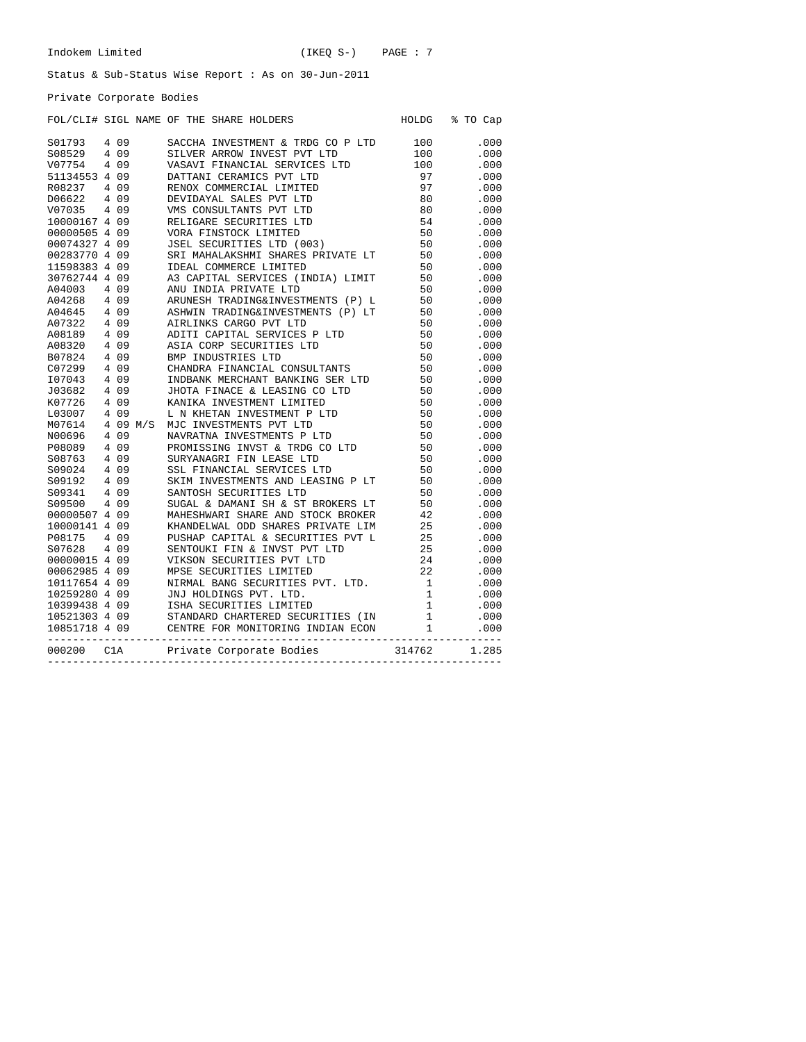Private Corporate Bodies

| POL/CLUB STGL NAME OF THE SHARE HOLDERS FOR CHEAT IS THE STGL OF THE SHARE HOLDERS (1979) 4 199 SCCCLA INVESTING PATH LITE 1100 000<br>1991-754 4 199 STATISTIC STATISTIC STATISTIC STATISTIC CONFIDENTIES (1991-2001)<br>1992<br>000200 ClA Private Corporate Bodies 314762 1.285 |  |  | FOL/CLI# SIGL NAME OF THE SHARE HOLDERS | HOLDG % TO Cap |
|------------------------------------------------------------------------------------------------------------------------------------------------------------------------------------------------------------------------------------------------------------------------------------|--|--|-----------------------------------------|----------------|
|                                                                                                                                                                                                                                                                                    |  |  |                                         |                |
|                                                                                                                                                                                                                                                                                    |  |  |                                         |                |
|                                                                                                                                                                                                                                                                                    |  |  |                                         |                |
|                                                                                                                                                                                                                                                                                    |  |  |                                         |                |
|                                                                                                                                                                                                                                                                                    |  |  |                                         |                |
|                                                                                                                                                                                                                                                                                    |  |  |                                         |                |
|                                                                                                                                                                                                                                                                                    |  |  |                                         |                |
|                                                                                                                                                                                                                                                                                    |  |  |                                         |                |
|                                                                                                                                                                                                                                                                                    |  |  |                                         |                |
|                                                                                                                                                                                                                                                                                    |  |  |                                         |                |
|                                                                                                                                                                                                                                                                                    |  |  |                                         |                |
|                                                                                                                                                                                                                                                                                    |  |  |                                         |                |
|                                                                                                                                                                                                                                                                                    |  |  |                                         |                |
|                                                                                                                                                                                                                                                                                    |  |  |                                         |                |
|                                                                                                                                                                                                                                                                                    |  |  |                                         |                |
|                                                                                                                                                                                                                                                                                    |  |  |                                         |                |
|                                                                                                                                                                                                                                                                                    |  |  |                                         |                |
|                                                                                                                                                                                                                                                                                    |  |  |                                         |                |
|                                                                                                                                                                                                                                                                                    |  |  |                                         |                |
|                                                                                                                                                                                                                                                                                    |  |  |                                         |                |
|                                                                                                                                                                                                                                                                                    |  |  |                                         |                |
|                                                                                                                                                                                                                                                                                    |  |  |                                         |                |
|                                                                                                                                                                                                                                                                                    |  |  |                                         |                |
|                                                                                                                                                                                                                                                                                    |  |  |                                         |                |
|                                                                                                                                                                                                                                                                                    |  |  |                                         |                |
|                                                                                                                                                                                                                                                                                    |  |  |                                         |                |
|                                                                                                                                                                                                                                                                                    |  |  |                                         |                |
|                                                                                                                                                                                                                                                                                    |  |  |                                         |                |
|                                                                                                                                                                                                                                                                                    |  |  |                                         |                |
|                                                                                                                                                                                                                                                                                    |  |  |                                         |                |
|                                                                                                                                                                                                                                                                                    |  |  |                                         |                |
|                                                                                                                                                                                                                                                                                    |  |  |                                         |                |
|                                                                                                                                                                                                                                                                                    |  |  |                                         |                |
|                                                                                                                                                                                                                                                                                    |  |  |                                         |                |
|                                                                                                                                                                                                                                                                                    |  |  |                                         |                |
|                                                                                                                                                                                                                                                                                    |  |  |                                         |                |
|                                                                                                                                                                                                                                                                                    |  |  |                                         |                |
|                                                                                                                                                                                                                                                                                    |  |  |                                         |                |
|                                                                                                                                                                                                                                                                                    |  |  |                                         |                |
|                                                                                                                                                                                                                                                                                    |  |  |                                         |                |
|                                                                                                                                                                                                                                                                                    |  |  |                                         |                |
|                                                                                                                                                                                                                                                                                    |  |  |                                         |                |
|                                                                                                                                                                                                                                                                                    |  |  |                                         |                |
|                                                                                                                                                                                                                                                                                    |  |  |                                         |                |
|                                                                                                                                                                                                                                                                                    |  |  |                                         |                |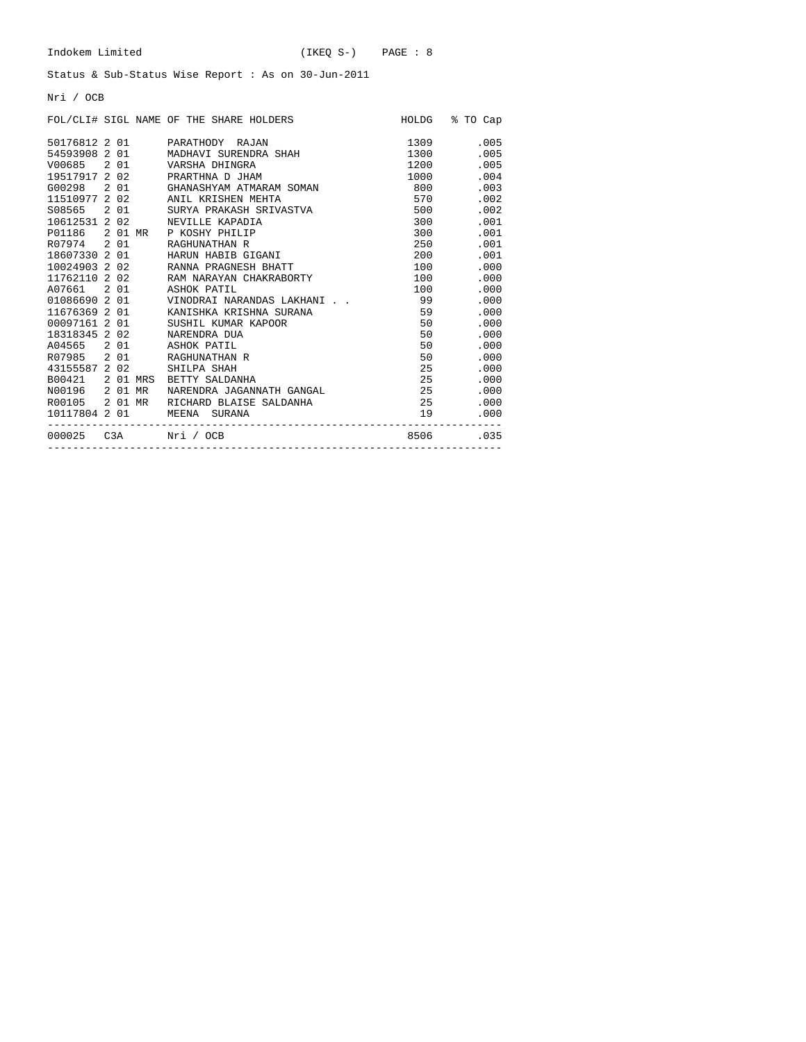Nri / OCB

|               |  | FOL/CLI# SIGL NAME OF THE SHARE HOLDERS |                                                                                                                                                                                                                                 | HOLDG % TO Cap  |
|---------------|--|-----------------------------------------|---------------------------------------------------------------------------------------------------------------------------------------------------------------------------------------------------------------------------------|-----------------|
|               |  | 50176812 2 01 PARATHODY RAJAN           | 1309                                                                                                                                                                                                                            | .005            |
|               |  | 54593908 2 01 MADHAVI SURENDRA SHAH     | 1300 - 1300 - 1300 - 1300 - 1310 - 1320 - 1320 - 1320 - 1320 - 1320 - 1320 - 1320 - 1320 - 1320 - 1320 - 1320 - 1320 - 1320 - 1320 - 1320 - 1320 - 1320 - 1320 - 1320 - 1320 - 1320 - 1320 - 1320 - 1320 - 1320 - 1320 - 1320 - | .005            |
|               |  | V00685 2 01 VARSHA DHINGRA              | 1200 - 1200 - 1200 - 1200 - 1200 - 1200 - 1200 - 1200 - 121 - 121 - 121 - 121 - 121 - 121 - 121 - 121 - 121 - 121 - 121 - 121 - 121 - 121 - 121 - 121 - 121 - 121 - 121 - 121 - 121 - 121 - 121 - 121 - 121 - 121 - 121 - 121 - | .005            |
|               |  | 19517917 2 02 PRARTHNA D JHAM           | 1000 - 1000 - 1000 - 1000 - 1000 - 1000 - 11000 - 11100 - 11100 - 11100 - 11100 - 11100 - 11100 - 11100 - 11100 - 11100 - 11100 - 11100 - 11100 - 11100 - 11100 - 11100 - 11100 - 11100 - 11100 - 11100 - 11100 - 11100 - 11100 | .004            |
|               |  | G00298 2 01 GHANASHYAM ATMARAM SOMAN    | 800                                                                                                                                                                                                                             | .003            |
|               |  | 11510977 2 02 ANIL KRISHEN MEHTA        | 570 30                                                                                                                                                                                                                          | .002            |
|               |  | S08565 2 01 SURYA PRAKASH SRIVASTVA     | 500                                                                                                                                                                                                                             | .002            |
|               |  | 10612531 2 02 NEVILLE KAPADIA           |                                                                                                                                                                                                                                 | .001<br>300 000 |
|               |  | P01186 2 01 MR P KOSHY PHILIP           |                                                                                                                                                                                                                                 | .001<br>300 000 |
| R07974 2 01   |  | RAGHUNATHAN R                           |                                                                                                                                                                                                                                 | .001            |
|               |  | 18607330 2 01 HARUN HABIB GIGANI        |                                                                                                                                                                                                                                 | .001<br>200     |
|               |  | 10024903 2 02 RANNA PRAGNESH BHATT      |                                                                                                                                                                                                                                 | .000<br>100     |
|               |  | 11762110 2 02 RAM NARAYAN CHAKRABORTY   | 100 000                                                                                                                                                                                                                         | .000            |
|               |  | A07661 2 01 ASHOK PATIL                 | 100                                                                                                                                                                                                                             | .000            |
|               |  | 01086690 2 01 VINODRAI NARANDAS LAKHANI | 99                                                                                                                                                                                                                              | .000            |
| 11676369 2 01 |  | KANISHKA KRISHNA SURANA                 | 59                                                                                                                                                                                                                              | .000            |
|               |  | 00097161 2 01 SUSHIL KUMAR KAPOOR       |                                                                                                                                                                                                                                 | 50 — 10<br>.000 |
|               |  | 18318345 2 02 NARENDRA DUA              |                                                                                                                                                                                                                                 | 50 7<br>.000    |
|               |  | A04565 2 01 ASHOK PATIL                 |                                                                                                                                                                                                                                 | 50 — 1<br>.000  |
|               |  | R07985 2 01 RAGHUNATHAN R               |                                                                                                                                                                                                                                 | 50 — 10<br>.000 |
| 43155587 2 02 |  | SHILPA SHAH                             |                                                                                                                                                                                                                                 | 25<br>.000      |
|               |  | B00421 2 01 MRS BETTY SALDANHA          |                                                                                                                                                                                                                                 | 25<br>.000      |
|               |  | N00196 201 MR NARENDRA JAGANNATH GANGAL | 25                                                                                                                                                                                                                              | .000            |
|               |  | R00105 2 01 MR RICHARD BLAISE SALDANHA  | 25                                                                                                                                                                                                                              | .000            |
|               |  | 10117804  2  01   MEENA   SURANA        | 19                                                                                                                                                                                                                              | .000            |
|               |  | __________________________________      |                                                                                                                                                                                                                                 | 8506.035        |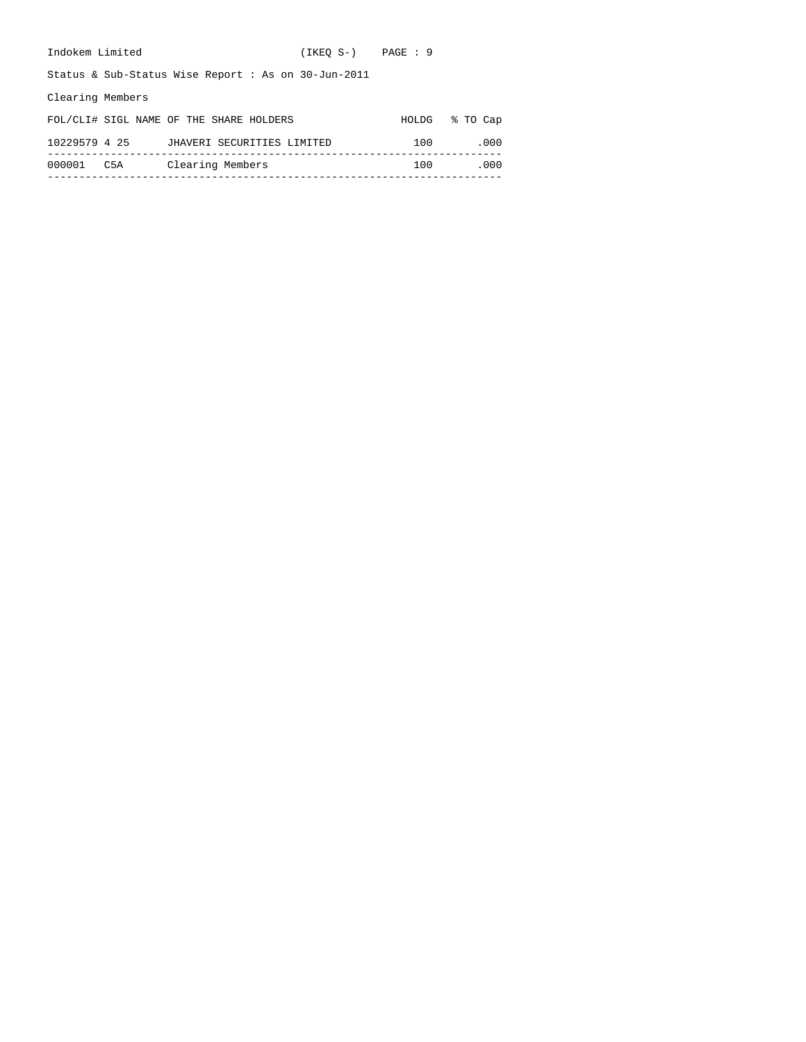| Indokem Limited  |     |                                                        | $(IKEO S-)$ $PAGE : 9$ |       |          |
|------------------|-----|--------------------------------------------------------|------------------------|-------|----------|
|                  |     | Status & Sub-Status Wise Report : As on $30$ -Jun-2011 |                        |       |          |
| Clearing Members |     |                                                        |                        |       |          |
|                  |     | FOL/CLI# SIGL NAME OF THE SHARE HOLDERS                |                        | HOLDG | % TO Cap |
| 10229579 4 25    |     | JHAVERI SECURITIES LIMITED                             |                        | 100   | .000     |
| 000001           | C5A | Clearing Members                                       |                        | 100   | .000     |
|                  |     |                                                        |                        |       |          |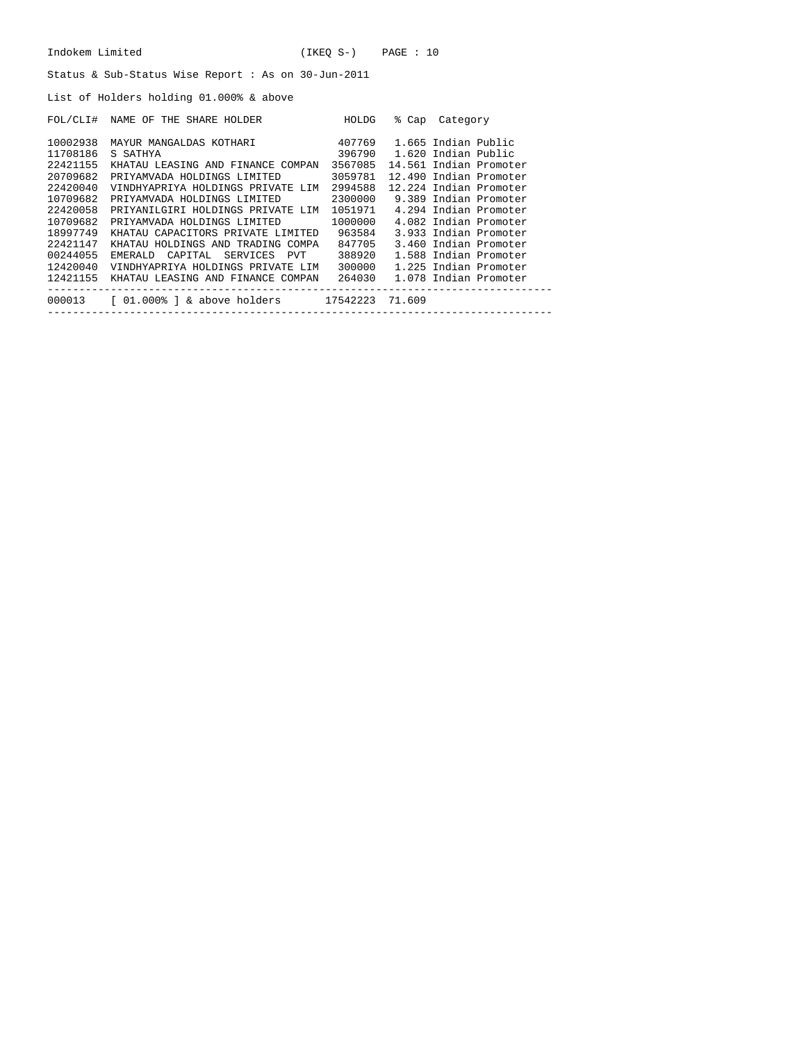List of Holders holding 01.000% & above

| FOL/CLI# | NAME OF THE SHARE HOLDER                         | HOLDG   | % Cap  | Category               |
|----------|--------------------------------------------------|---------|--------|------------------------|
| 10002938 | MAYUR MANGALDAS KOTHARI                          | 407769  |        | 1.665 Indian Public    |
| 11708186 | S SATHYA                                         | 396790  |        | 1.620 Indian Public    |
| 22421155 | KHATAU LEASING AND FINANCE COMPAN                | 3567085 |        | 14.561 Indian Promoter |
| 20709682 | PRIYAMVADA HOLDINGS LIMITED                      | 3059781 |        | 12.490 Indian Promoter |
| 22420040 | VINDHYAPRIYA HOLDINGS PRIVATE LIM                | 2994588 |        | 12.224 Indian Promoter |
| 10709682 | PRIYAMVADA HOLDINGS LIMITED                      | 2300000 |        | 9.389 Indian Promoter  |
| 22420058 | PRIYANILGIRI HOLDINGS PRIVATE LIM                | 1051971 |        | 4.294 Indian Promoter  |
| 10709682 | PRIYAMVADA HOLDINGS LIMITED                      | 1000000 |        | 4.082 Indian Promoter  |
| 18997749 | KHATAU CAPACITORS PRIVATE LIMITED                | 963584  |        | 3.933 Indian Promoter  |
| 22421147 | KHATAU HOLDINGS AND TRADING COMPA                | 847705  |        | 3.460 Indian Promoter  |
| 00244055 | EMERALD CAPITAL SERVICES PVT                     | 388920  |        | 1.588 Indian Promoter  |
| 12420040 | VINDHYAPRIYA HOLDINGS PRIVATE LIM                | 300000  |        | 1.225 Indian Promoter  |
| 12421155 | KHATAU LEASING AND FINANCE COMPAN                | 264030  |        | 1.078 Indian Promoter  |
| 000013   | $\lceil 01.000\rceil$ & above holders $17542223$ |         | 71.609 |                        |
|          |                                                  |         |        |                        |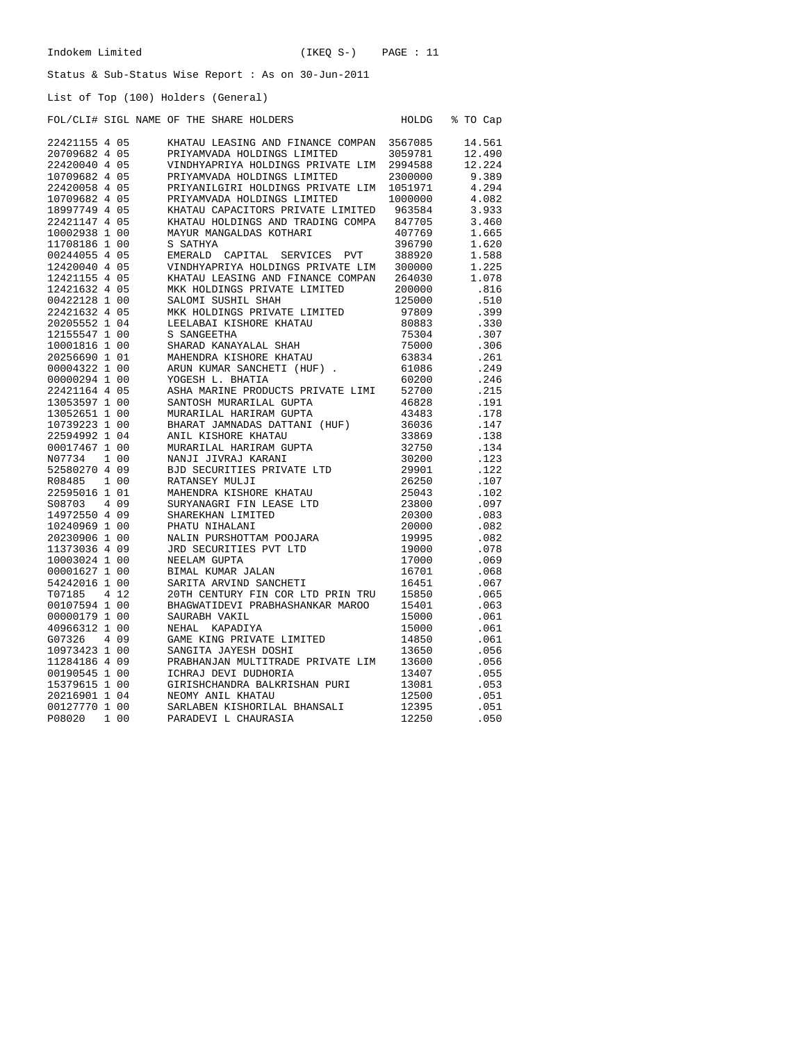HOLDG % TO Cap

## Status & Sub-Status Wise Report : As on 30-Jun-2011

List of Top (100) Holders (General)

| FOL/CLI# SIGL NAME OF THE SHARE HOLDERS |  |  |  |  |  |  |
|-----------------------------------------|--|--|--|--|--|--|
|-----------------------------------------|--|--|--|--|--|--|

| 22421155 4 05 |       | KHATAU LEASING AND FINANCE COMPAN 3567085 |         | 14.561 |
|---------------|-------|-------------------------------------------|---------|--------|
| 20709682 4 05 |       | PRIYAMVADA HOLDINGS LIMITED               | 3059781 | 12.490 |
| 22420040 4 05 |       | VINDHYAPRIYA HOLDINGS PRIVATE LIM 2994588 |         | 12.224 |
| 10709682 4 05 |       | PRIYAMVADA HOLDINGS LIMITED               | 2300000 | 9.389  |
| 22420058 4 05 |       | PRIYANILGIRI HOLDINGS PRIVATE LIM 1051971 |         | 4.294  |
| 10709682 4 05 |       | PRIYAMVADA HOLDINGS LIMITED               | 1000000 | 4.082  |
| 18997749 4 05 |       | KHATAU CAPACITORS PRIVATE LIMITED         | 963584  | 3.933  |
| 22421147 4 05 |       | KHATAU HOLDINGS AND TRADING COMPA         | 847705  | 3.460  |
| 10002938 1 00 |       | MAYUR MANGALDAS KOTHARI                   | 407769  | 1.665  |
| 11708186 1 00 |       | S SATHYA                                  | 396790  | 1.620  |
| 00244055 4 05 |       | EMERALD CAPITAL SERVICES PVT              | 388920  | 1.588  |
| 12420040 4 05 |       | VINDHYAPRIYA HOLDINGS PRIVATE LIM         | 300000  | 1.225  |
| 12421155 4 05 |       | KHATAU LEASING AND FINANCE COMPAN         | 264030  | 1.078  |
| 12421632 4 05 |       | MKK HOLDINGS PRIVATE LIMITED              | 200000  | .816   |
| 00422128 1 00 |       | SALOMI SUSHIL SHAH                        | 125000  | .510   |
| 22421632 4 05 |       | MKK HOLDINGS PRIVATE LIMITED              | 97809   | .399   |
| 20205552 1 04 |       | LEELABAI KISHORE KHATAU                   | 80883   | .330   |
| 12155547 1 00 |       | S SANGEETHA                               | 75304   | .307   |
| 10001816 1 00 |       | SHARAD KANAYALAL SHAH                     | 75000   | .306   |
| 20256690 1 01 |       | MAHENDRA KISHORE KHATAU                   | 63834   | .261   |
| 00004322 1 00 |       | ARUN KUMAR SANCHETI (HUF).                | 61086   | .249   |
| 00000294 1 00 |       | YOGESH L. BHATIA                          | 60200   | .246   |
| 22421164 4 05 |       | ASHA MARINE PRODUCTS PRIVATE LIMI         | 52700   | .215   |
| 13053597 1 00 |       | SANTOSH MURARILAL GUPTA                   | 46828   | .191   |
| 13052651 1 00 |       | MURARILAL HARIRAM GUPTA                   | 43483   | .178   |
| 10739223 1 00 |       | BHARAT JAMNADAS DATTANI (HUF)             | 36036   | .147   |
| 22594992 1 04 |       | ANIL KISHORE KHATAU                       | 33869   | .138   |
| 00017467 1 00 |       | MURARILAL HARIRAM GUPTA                   | 32750   | .134   |
| N07734        | 1 0 0 | NANJI JIVRAJ KARANI                       | 30200   | .123   |
| 52580270 4 09 |       | BJD SECURITIES PRIVATE LTD                | 29901   | .122   |
| R08485        | 1 00  | RATANSEY MULJI                            | 26250   | .107   |
| 22595016 1 01 |       | MAHENDRA KISHORE KHATAU                   | 25043   | .102   |
| S08703        | 409   | SURYANAGRI FIN LEASE LTD                  | 23800   | .097   |
| 14972550 4 09 |       | SHAREKHAN LIMITED                         | 20300   | .083   |
| 10240969 1 00 |       | PHATU NIHALANI                            | 20000   | .082   |
| 20230906 1 00 |       | NALIN PURSHOTTAM POOJARA                  | 19995   | .082   |
| 11373036 4 09 |       | JRD SECURITIES PVT LTD                    | 19000   | .078   |
| 10003024 1 00 |       | NEELAM GUPTA                              | 17000   | .069   |
| 00001627 1 00 |       | BIMAL KUMAR JALAN                         | 16701   | .068   |
| 54242016 1 00 |       | SARITA ARVIND SANCHETI                    | 16451   | .067   |
| T07185        | 4 1 2 | 20TH CENTURY FIN COR LTD PRIN TRU         | 15850   | .065   |
| 00107594 1 00 |       | BHAGWATIDEVI PRABHASHANKAR MAROO          | 15401   | .063   |
| 00000179 1 00 |       | SAURABH VAKIL                             | 15000   | .061   |
| 40966312 1 00 |       | NEHAL KAPADIYA                            | 15000   | .061   |
| G07326        | 4 0 9 | GAME KING PRIVATE LIMITED                 | 14850   | .061   |
| 10973423 1 00 |       | SANGITA JAYESH DOSHI                      | 13650   | .056   |
| 11284186 4 09 |       | PRABHANJAN MULTITRADE PRIVATE LIM         | 13600   | .056   |
| 00190545 1 00 |       | ICHRAJ DEVI DUDHORIA                      | 13407   | .055   |
| 15379615 1 00 |       | GIRISHCHANDRA BALKRISHAN PURI             | 13081   | .053   |
| 20216901 1 04 |       | NEOMY ANIL KHATAU                         | 12500   | .051   |
| 00127770 1 00 |       | SARLABEN KISHORILAL BHANSALI              | 12395   | .051   |
| P08020        | 1 00  | PARADEVI L CHAURASIA                      | 12250   | .050   |
|               |       |                                           |         |        |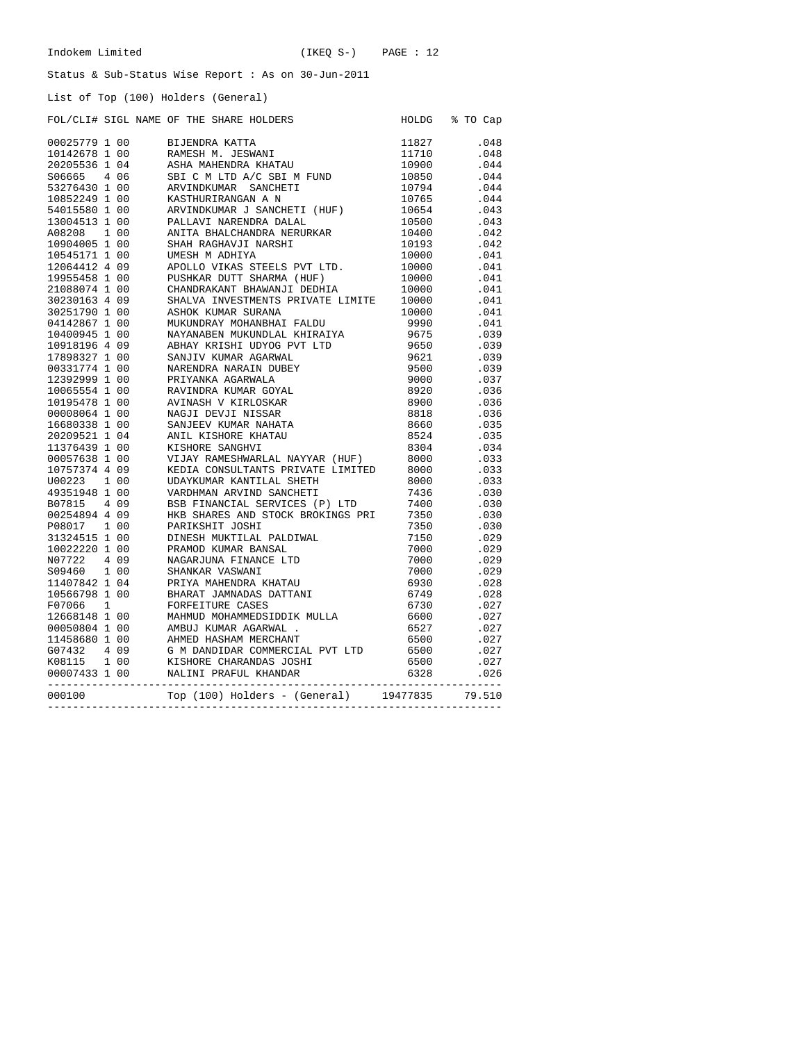List of Top (100) Holders (General)

|        |  | FOL/CLI# SIGL NAME OF THE SHARE HOLDERS<br>POLACELLE SIGLE NAME OF THE SIDAGE ROLLERS (1991) 1992<br>1992-7991 100 BARBEROM, ACHERO (1992) 1992<br>1992-25791 100 BARBEROM, ACHERO 1992<br>1992-2635 104 ABADEMIK KIRKU 11710 (1992) 1994<br>1992-2635 1040 BARBEROM (1992) 1994<br>199 | HOLDG % TO Cap |
|--------|--|-----------------------------------------------------------------------------------------------------------------------------------------------------------------------------------------------------------------------------------------------------------------------------------------|----------------|
|        |  |                                                                                                                                                                                                                                                                                         |                |
|        |  |                                                                                                                                                                                                                                                                                         |                |
|        |  |                                                                                                                                                                                                                                                                                         |                |
|        |  |                                                                                                                                                                                                                                                                                         |                |
|        |  |                                                                                                                                                                                                                                                                                         |                |
|        |  |                                                                                                                                                                                                                                                                                         |                |
|        |  |                                                                                                                                                                                                                                                                                         |                |
|        |  |                                                                                                                                                                                                                                                                                         |                |
|        |  |                                                                                                                                                                                                                                                                                         |                |
|        |  |                                                                                                                                                                                                                                                                                         |                |
|        |  |                                                                                                                                                                                                                                                                                         |                |
|        |  |                                                                                                                                                                                                                                                                                         |                |
|        |  |                                                                                                                                                                                                                                                                                         |                |
|        |  |                                                                                                                                                                                                                                                                                         |                |
|        |  |                                                                                                                                                                                                                                                                                         |                |
|        |  |                                                                                                                                                                                                                                                                                         |                |
|        |  |                                                                                                                                                                                                                                                                                         |                |
|        |  |                                                                                                                                                                                                                                                                                         |                |
|        |  |                                                                                                                                                                                                                                                                                         |                |
|        |  |                                                                                                                                                                                                                                                                                         |                |
|        |  |                                                                                                                                                                                                                                                                                         |                |
|        |  |                                                                                                                                                                                                                                                                                         |                |
|        |  |                                                                                                                                                                                                                                                                                         |                |
|        |  |                                                                                                                                                                                                                                                                                         |                |
|        |  |                                                                                                                                                                                                                                                                                         |                |
|        |  |                                                                                                                                                                                                                                                                                         |                |
|        |  |                                                                                                                                                                                                                                                                                         |                |
|        |  |                                                                                                                                                                                                                                                                                         |                |
|        |  |                                                                                                                                                                                                                                                                                         |                |
|        |  |                                                                                                                                                                                                                                                                                         |                |
|        |  |                                                                                                                                                                                                                                                                                         |                |
|        |  |                                                                                                                                                                                                                                                                                         |                |
|        |  |                                                                                                                                                                                                                                                                                         |                |
|        |  |                                                                                                                                                                                                                                                                                         |                |
|        |  |                                                                                                                                                                                                                                                                                         |                |
|        |  |                                                                                                                                                                                                                                                                                         |                |
|        |  |                                                                                                                                                                                                                                                                                         |                |
|        |  |                                                                                                                                                                                                                                                                                         |                |
|        |  |                                                                                                                                                                                                                                                                                         |                |
|        |  |                                                                                                                                                                                                                                                                                         |                |
|        |  |                                                                                                                                                                                                                                                                                         |                |
|        |  |                                                                                                                                                                                                                                                                                         |                |
|        |  |                                                                                                                                                                                                                                                                                         |                |
|        |  |                                                                                                                                                                                                                                                                                         |                |
|        |  |                                                                                                                                                                                                                                                                                         |                |
|        |  |                                                                                                                                                                                                                                                                                         |                |
|        |  |                                                                                                                                                                                                                                                                                         |                |
|        |  |                                                                                                                                                                                                                                                                                         |                |
|        |  |                                                                                                                                                                                                                                                                                         |                |
| 000100 |  |                                                                                                                                                                                                                                                                                         |                |
|        |  |                                                                                                                                                                                                                                                                                         |                |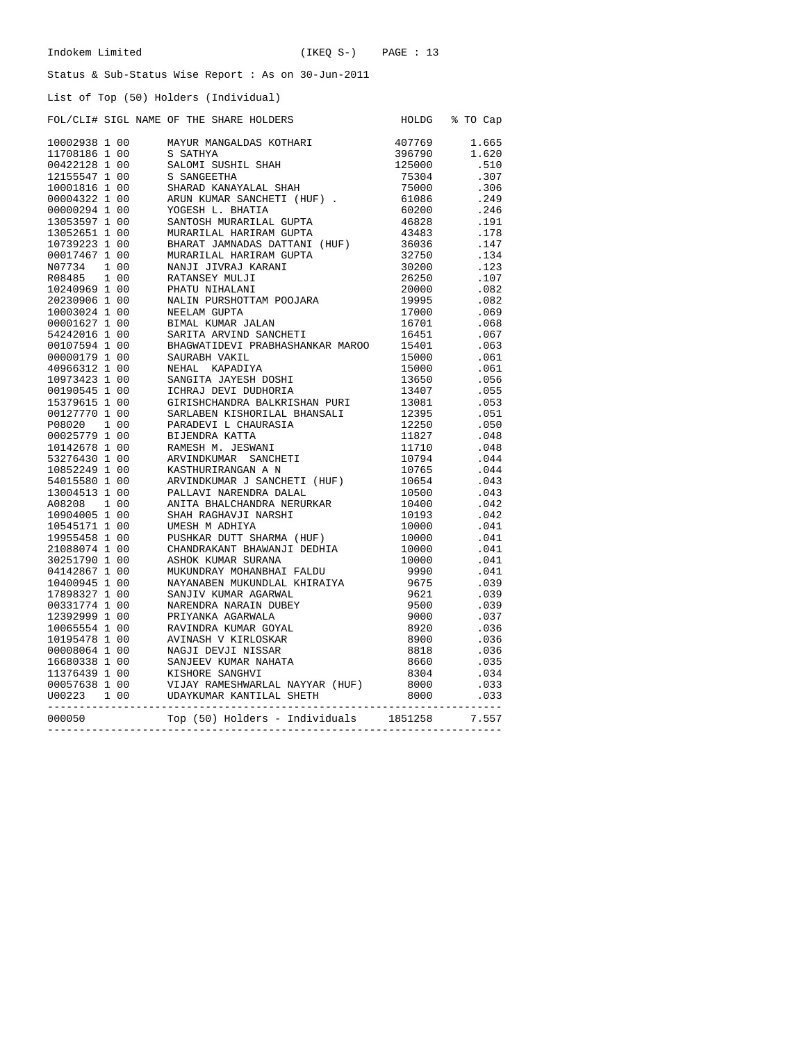# List of Top (50) Holders (Individual)

|               |  | LIST OI TOP (50) HOLGETS (INGIVIQUAL)                                                                                                                                                                                                                                             |                                                   |                |
|---------------|--|-----------------------------------------------------------------------------------------------------------------------------------------------------------------------------------------------------------------------------------------------------------------------------------|---------------------------------------------------|----------------|
|               |  | FOL/CLI# SIGL NAME OF THE SHARE HOLDERS<br>FOL/CLIP SIGL NAME OF THE SHARE HOLDERS<br>1002238 1 00 SAMITE ANNE CHEME ANNE 1002238 1 00<br>100238 1 00 SAMITE ANNE ENERGY MARIE 1998<br>1170318 1 00 SAMITENT SHARE TIRE 175000<br>1170318 1 00 SAMITENT (HUF) 7 50000<br>10003116 |                                                   | HOLDG % TO Cap |
| 10002938 1 00 |  | MAYUR MANGALDAS KOTHARI                                                                                                                                                                                                                                                           |                                                   | 407769 1.665   |
|               |  |                                                                                                                                                                                                                                                                                   |                                                   | 1.620          |
|               |  |                                                                                                                                                                                                                                                                                   |                                                   | .510           |
|               |  |                                                                                                                                                                                                                                                                                   |                                                   | .307           |
|               |  |                                                                                                                                                                                                                                                                                   |                                                   | .306           |
|               |  |                                                                                                                                                                                                                                                                                   |                                                   | .249           |
|               |  |                                                                                                                                                                                                                                                                                   |                                                   | .246           |
|               |  |                                                                                                                                                                                                                                                                                   |                                                   | .191           |
|               |  |                                                                                                                                                                                                                                                                                   |                                                   | .178           |
|               |  |                                                                                                                                                                                                                                                                                   |                                                   | .147           |
|               |  |                                                                                                                                                                                                                                                                                   |                                                   | .134           |
|               |  |                                                                                                                                                                                                                                                                                   |                                                   | .123           |
|               |  |                                                                                                                                                                                                                                                                                   |                                                   | .107           |
|               |  |                                                                                                                                                                                                                                                                                   |                                                   |                |
|               |  |                                                                                                                                                                                                                                                                                   |                                                   | .082           |
|               |  |                                                                                                                                                                                                                                                                                   |                                                   | .082           |
|               |  |                                                                                                                                                                                                                                                                                   |                                                   | .069           |
|               |  |                                                                                                                                                                                                                                                                                   |                                                   | .068           |
|               |  |                                                                                                                                                                                                                                                                                   |                                                   | .067           |
|               |  |                                                                                                                                                                                                                                                                                   |                                                   | .063           |
|               |  |                                                                                                                                                                                                                                                                                   |                                                   | .061           |
|               |  |                                                                                                                                                                                                                                                                                   |                                                   | .061           |
|               |  |                                                                                                                                                                                                                                                                                   |                                                   | .056           |
|               |  |                                                                                                                                                                                                                                                                                   |                                                   | .055           |
|               |  |                                                                                                                                                                                                                                                                                   |                                                   | .053           |
|               |  |                                                                                                                                                                                                                                                                                   |                                                   | .051           |
|               |  |                                                                                                                                                                                                                                                                                   |                                                   | .050           |
|               |  |                                                                                                                                                                                                                                                                                   |                                                   | .048           |
|               |  |                                                                                                                                                                                                                                                                                   |                                                   | .048           |
|               |  |                                                                                                                                                                                                                                                                                   |                                                   | .044           |
|               |  |                                                                                                                                                                                                                                                                                   |                                                   | .044           |
|               |  |                                                                                                                                                                                                                                                                                   |                                                   | .043           |
|               |  |                                                                                                                                                                                                                                                                                   |                                                   | .043           |
|               |  |                                                                                                                                                                                                                                                                                   |                                                   | .042           |
|               |  |                                                                                                                                                                                                                                                                                   |                                                   | .042           |
|               |  |                                                                                                                                                                                                                                                                                   |                                                   | .041           |
|               |  |                                                                                                                                                                                                                                                                                   |                                                   | .041           |
|               |  |                                                                                                                                                                                                                                                                                   |                                                   | .041           |
|               |  |                                                                                                                                                                                                                                                                                   |                                                   | .041           |
|               |  |                                                                                                                                                                                                                                                                                   | $10000$<br>$10000$<br>$10000$<br>$9990$<br>$9675$ | .041           |
|               |  |                                                                                                                                                                                                                                                                                   |                                                   | .039           |
|               |  |                                                                                                                                                                                                                                                                                   |                                                   | .039           |
|               |  |                                                                                                                                                                                                                                                                                   |                                                   | .039           |
|               |  |                                                                                                                                                                                                                                                                                   |                                                   | .037           |
|               |  |                                                                                                                                                                                                                                                                                   |                                                   | .036           |
|               |  |                                                                                                                                                                                                                                                                                   |                                                   | .036           |
|               |  |                                                                                                                                                                                                                                                                                   |                                                   | .036           |
|               |  |                                                                                                                                                                                                                                                                                   |                                                   | .035           |
|               |  |                                                                                                                                                                                                                                                                                   |                                                   | .034           |
|               |  |                                                                                                                                                                                                                                                                                   |                                                   | .033           |
|               |  |                                                                                                                                                                                                                                                                                   |                                                   | .033           |
| 000050        |  | Top (50) Holders - Individuals 1851258                                                                                                                                                                                                                                            |                                                   | 7.557          |

------------------------------------------------------------------------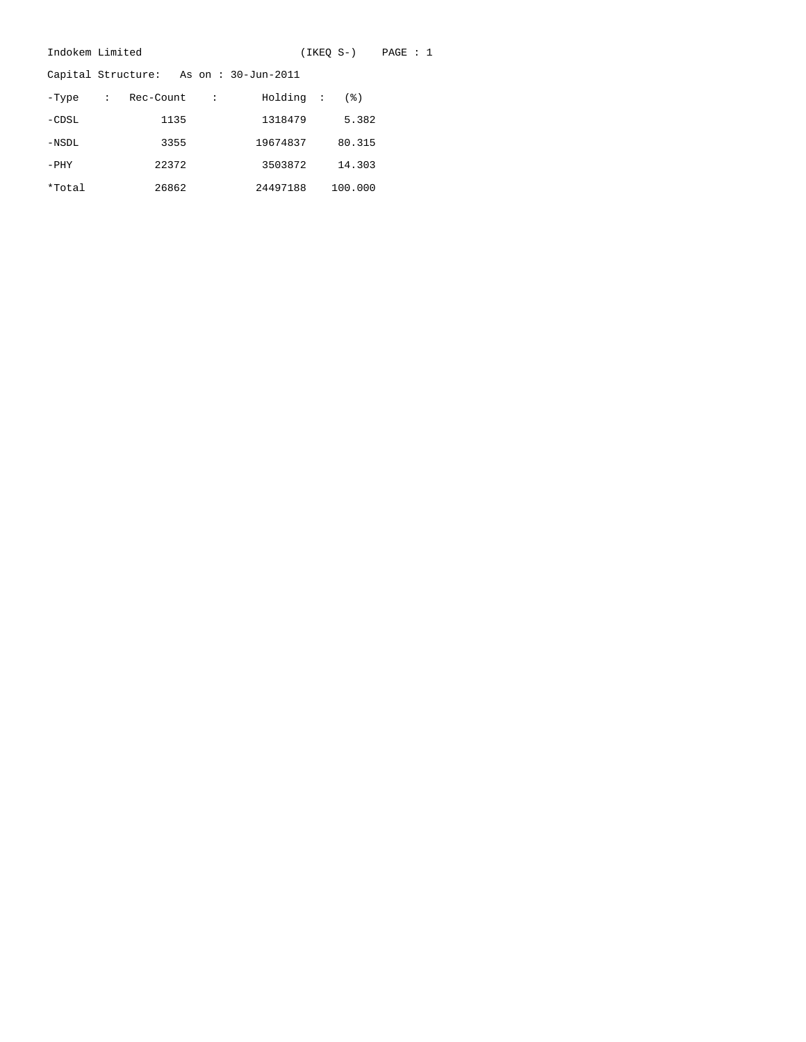|         | Indokem Limited |           | (IKEO S-) | PAGE : 1                              |         |  |  |
|---------|-----------------|-----------|-----------|---------------------------------------|---------|--|--|
|         |                 |           |           | Capital Structure: As on: 30-Jun-2011 |         |  |  |
| -Type   | $\sim$ 100      | Rec-Count | $\cdot$ : | Holding :                             | (응)     |  |  |
| $-CDSL$ |                 | 1135      |           | 1318479                               | 5.382   |  |  |
| -NSDL   |                 | 3355      |           | 19674837                              | 80.315  |  |  |
| $-$ PHY |                 | 22372     |           | 3503872                               | 14.303  |  |  |
| *Total  |                 | 26862     |           | 24497188                              | 100.000 |  |  |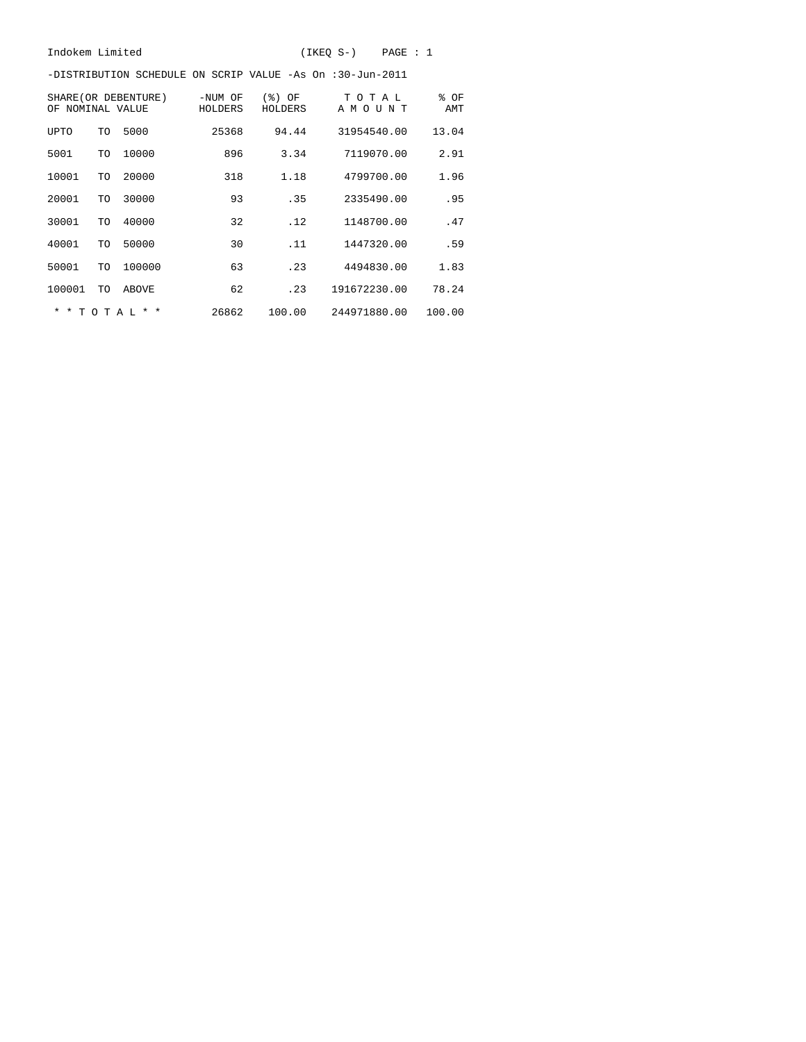-DISTRIBUTION SCHEDULE ON SCRIP VALUE -As On :30-Jun-2011

| SHARE (OR DEBENTURE)<br>NOMINAL VALUE<br>OF |           |                 | -NUM OF<br>HOLDERS | (응)<br>OF<br>HOLDERS | ТОТАЬ<br>A M O U<br>ΝT | % OF<br>AMT |
|---------------------------------------------|-----------|-----------------|--------------------|----------------------|------------------------|-------------|
| <b>UPTO</b>                                 | TO        | 5000            | 25368              | 94.44                | 31954540.00            | 13.04       |
| 5001                                        | TO        | 10000           | 896                | 3.34                 | 7119070.00             | 2.91        |
| 10001                                       | TO        | 20000           | 318                | 1.18                 | 4799700.00             | 1.96        |
| 20001                                       | TO        | 30000           | 93                 | .35                  | 2335490.00             | .95         |
| 30001                                       | TO        | 40000           | 32                 | .12                  | 1148700.00             | .47         |
| 40001                                       | TO        | 50000           | 30                 | .11                  | 1447320.00             | .59         |
| 50001                                       | TO        | 100000          | 63                 | .23                  | 4494830.00             | 1.83        |
| 100001                                      | TO        | <b>ABOVE</b>    | 62                 | .23                  | 191672230.00           | 78.24       |
| $\star$<br>$\star$                          | T O T A L | $\star$ $\star$ | 26862              | 100.00               | 244971880.00           | 100.00      |